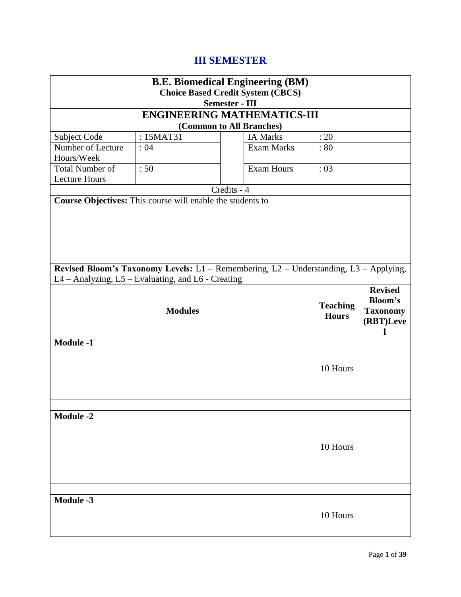# **III SEMESTER**

| <b>B.E. Biomedical Engineering (BM)</b> |                                                                                                                                                                                  |                       |                   |      |  |
|-----------------------------------------|----------------------------------------------------------------------------------------------------------------------------------------------------------------------------------|-----------------------|-------------------|------|--|
|                                         | <b>Choice Based Credit System (CBCS)</b>                                                                                                                                         |                       |                   |      |  |
|                                         |                                                                                                                                                                                  | <b>Semester - III</b> |                   |      |  |
|                                         | <b>ENGINEERING MATHEMATICS-III</b>                                                                                                                                               |                       |                   |      |  |
|                                         | (Common to All Branches)                                                                                                                                                         |                       |                   |      |  |
| Subject Code                            | : 15MAT31                                                                                                                                                                        |                       | <b>IA Marks</b>   | : 20 |  |
| Number of Lecture<br>Hours/Week         | :04                                                                                                                                                                              |                       | <b>Exam Marks</b> | : 80 |  |
| <b>Total Number of</b>                  | :50                                                                                                                                                                              |                       | <b>Exam Hours</b> | :03  |  |
| <b>Lecture Hours</b>                    |                                                                                                                                                                                  |                       |                   |      |  |
|                                         |                                                                                                                                                                                  | Credits - 4           |                   |      |  |
|                                         | Course Objectives: This course will enable the students to                                                                                                                       |                       |                   |      |  |
|                                         |                                                                                                                                                                                  |                       |                   |      |  |
|                                         | Revised Bloom's Taxonomy Levels: L1 - Remembering, L2 - Understanding, L3 - Applying,                                                                                            |                       |                   |      |  |
|                                         | L4 - Analyzing, L5 - Evaluating, and L6 - Creating<br><b>Revised</b><br><b>Bloom's</b><br><b>Teaching</b><br><b>Modules</b><br><b>Taxonomy</b><br><b>Hours</b><br>(RBT)Leve<br>L |                       |                   |      |  |
| <b>Module -1</b>                        | 10 Hours                                                                                                                                                                         |                       |                   |      |  |
|                                         |                                                                                                                                                                                  |                       |                   |      |  |
| <b>Module -2</b><br>10 Hours            |                                                                                                                                                                                  |                       |                   |      |  |
|                                         |                                                                                                                                                                                  |                       |                   |      |  |
| <b>Module -3</b><br>10 Hours            |                                                                                                                                                                                  |                       |                   |      |  |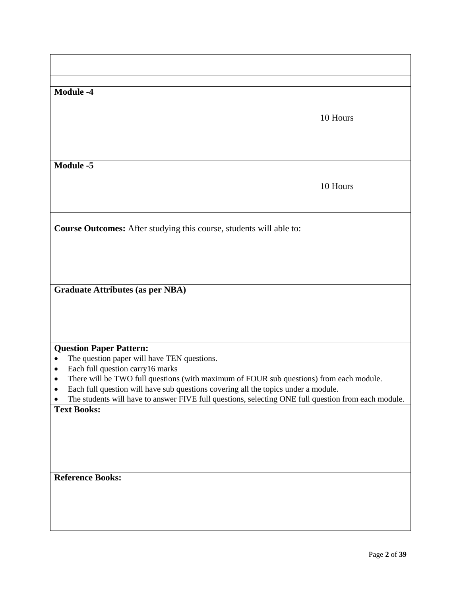| <b>Module -4</b>                                                                                                                                                                                                                                                                                                                                                                                                                          | 10 Hours |  |
|-------------------------------------------------------------------------------------------------------------------------------------------------------------------------------------------------------------------------------------------------------------------------------------------------------------------------------------------------------------------------------------------------------------------------------------------|----------|--|
| <b>Module -5</b>                                                                                                                                                                                                                                                                                                                                                                                                                          | 10 Hours |  |
| Course Outcomes: After studying this course, students will able to:                                                                                                                                                                                                                                                                                                                                                                       |          |  |
|                                                                                                                                                                                                                                                                                                                                                                                                                                           |          |  |
| <b>Graduate Attributes (as per NBA)</b>                                                                                                                                                                                                                                                                                                                                                                                                   |          |  |
| <b>Question Paper Pattern:</b><br>The question paper will have TEN questions.<br>$\bullet$<br>Each full question carry 16 marks<br>$\bullet$<br>There will be TWO full questions (with maximum of FOUR sub questions) from each module.<br>Each full question will have sub questions covering all the topics under a module.<br>The students will have to answer FIVE full questions, selecting ONE full question from each module.<br>٠ |          |  |
| <b>Text Books:</b>                                                                                                                                                                                                                                                                                                                                                                                                                        |          |  |
| <b>Reference Books:</b>                                                                                                                                                                                                                                                                                                                                                                                                                   |          |  |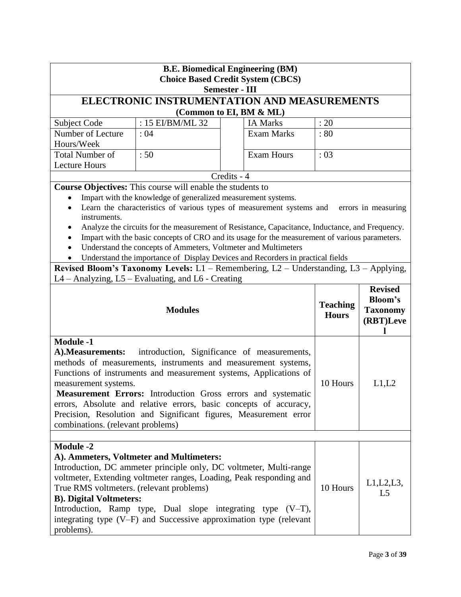| <b>B.E. Biomedical Engineering (BM)</b><br><b>Choice Based Credit System (CBCS)</b><br><b>Semester - III</b>                                                                                                                                                                                                                                                                                                                                                                                                          |                                                                |                                                                                                                                                                                                                                                                                   |                                 |                                                           |
|-----------------------------------------------------------------------------------------------------------------------------------------------------------------------------------------------------------------------------------------------------------------------------------------------------------------------------------------------------------------------------------------------------------------------------------------------------------------------------------------------------------------------|----------------------------------------------------------------|-----------------------------------------------------------------------------------------------------------------------------------------------------------------------------------------------------------------------------------------------------------------------------------|---------------------------------|-----------------------------------------------------------|
|                                                                                                                                                                                                                                                                                                                                                                                                                                                                                                                       |                                                                | <b>ELECTRONIC INSTRUMENTATION AND MEASUREMENTS</b>                                                                                                                                                                                                                                |                                 |                                                           |
|                                                                                                                                                                                                                                                                                                                                                                                                                                                                                                                       |                                                                | (Common to EI, BM & ML)                                                                                                                                                                                                                                                           |                                 |                                                           |
| Subject Code                                                                                                                                                                                                                                                                                                                                                                                                                                                                                                          | : 15 EI/BM/ML 32                                               | <b>IA Marks</b>                                                                                                                                                                                                                                                                   | : 20                            |                                                           |
| Number of Lecture                                                                                                                                                                                                                                                                                                                                                                                                                                                                                                     | :04                                                            | <b>Exam Marks</b>                                                                                                                                                                                                                                                                 | :80                             |                                                           |
| Hours/Week                                                                                                                                                                                                                                                                                                                                                                                                                                                                                                            |                                                                |                                                                                                                                                                                                                                                                                   |                                 |                                                           |
| <b>Total Number of</b>                                                                                                                                                                                                                                                                                                                                                                                                                                                                                                | :50                                                            | <b>Exam Hours</b>                                                                                                                                                                                                                                                                 | :03                             |                                                           |
| <b>Lecture Hours</b>                                                                                                                                                                                                                                                                                                                                                                                                                                                                                                  |                                                                |                                                                                                                                                                                                                                                                                   |                                 |                                                           |
|                                                                                                                                                                                                                                                                                                                                                                                                                                                                                                                       |                                                                | Credits - 4                                                                                                                                                                                                                                                                       |                                 |                                                           |
|                                                                                                                                                                                                                                                                                                                                                                                                                                                                                                                       | Course Objectives: This course will enable the students to     |                                                                                                                                                                                                                                                                                   |                                 |                                                           |
|                                                                                                                                                                                                                                                                                                                                                                                                                                                                                                                       | Impart with the knowledge of generalized measurement systems.  |                                                                                                                                                                                                                                                                                   |                                 |                                                           |
| instruments.                                                                                                                                                                                                                                                                                                                                                                                                                                                                                                          |                                                                | Learn the characteristics of various types of measurement systems and                                                                                                                                                                                                             |                                 | errors in measuring                                       |
|                                                                                                                                                                                                                                                                                                                                                                                                                                                                                                                       |                                                                | Analyze the circuits for the measurement of Resistance, Capacitance, Inductance, and Frequency.                                                                                                                                                                                   |                                 |                                                           |
| $\bullet$                                                                                                                                                                                                                                                                                                                                                                                                                                                                                                             |                                                                | Impart with the basic concepts of CRO and its usage for the measurement of various parameters.                                                                                                                                                                                    |                                 |                                                           |
|                                                                                                                                                                                                                                                                                                                                                                                                                                                                                                                       | Understand the concepts of Ammeters, Voltmeter and Multimeters |                                                                                                                                                                                                                                                                                   |                                 |                                                           |
|                                                                                                                                                                                                                                                                                                                                                                                                                                                                                                                       |                                                                | Understand the importance of Display Devices and Recorders in practical fields                                                                                                                                                                                                    |                                 |                                                           |
|                                                                                                                                                                                                                                                                                                                                                                                                                                                                                                                       |                                                                | Revised Bloom's Taxonomy Levels: L1 - Remembering, L2 - Understanding, L3 - Applying,                                                                                                                                                                                             |                                 |                                                           |
|                                                                                                                                                                                                                                                                                                                                                                                                                                                                                                                       | L4 - Analyzing, L5 - Evaluating, and L6 - Creating             |                                                                                                                                                                                                                                                                                   |                                 |                                                           |
|                                                                                                                                                                                                                                                                                                                                                                                                                                                                                                                       | <b>Modules</b>                                                 |                                                                                                                                                                                                                                                                                   | <b>Teaching</b><br><b>Hours</b> | <b>Revised</b><br>Bloom's<br><b>Taxonomy</b><br>(RBT)Leve |
| <b>Module -1</b><br>introduction, Significance of measurements,<br>A). Measurements:<br>methods of measurements, instruments and measurement systems,<br>Functions of instruments and measurement systems, Applications of<br>10 Hours<br>L1,L2<br>measurement systems.<br>Measurement Errors: Introduction Gross errors and systematic<br>errors, Absolute and relative errors, basic concepts of accuracy,<br>Precision, Resolution and Significant figures, Measurement error<br>combinations. (relevant problems) |                                                                |                                                                                                                                                                                                                                                                                   |                                 |                                                           |
|                                                                                                                                                                                                                                                                                                                                                                                                                                                                                                                       |                                                                |                                                                                                                                                                                                                                                                                   |                                 |                                                           |
| <b>Module -2</b><br>True RMS voltmeters. (relevant problems)<br><b>B). Digital Voltmeters:</b><br>problems).                                                                                                                                                                                                                                                                                                                                                                                                          | A). Ammeters, Voltmeter and Multimeters:                       | Introduction, DC ammeter principle only, DC voltmeter, Multi-range<br>voltmeter, Extending voltmeter ranges, Loading, Peak responding and<br>Introduction, Ramp type, Dual slope integrating type $(V-T)$ ,<br>integrating type (V-F) and Successive approximation type (relevant | 10 Hours                        | L1, L2, L3,<br>L <sub>5</sub>                             |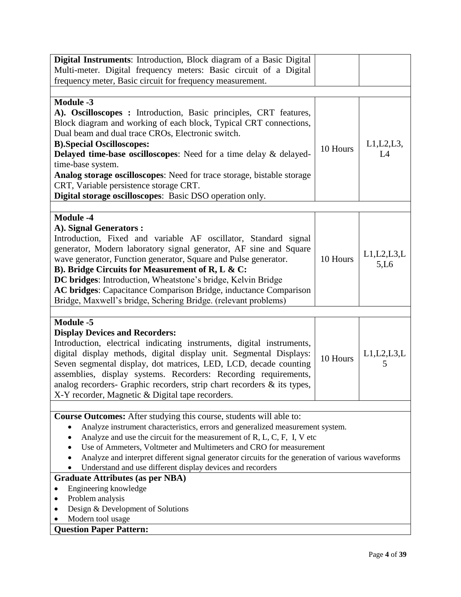| Digital Instruments: Introduction, Block diagram of a Basic Digital                                              |          |               |
|------------------------------------------------------------------------------------------------------------------|----------|---------------|
| Multi-meter. Digital frequency meters: Basic circuit of a Digital                                                |          |               |
| frequency meter, Basic circuit for frequency measurement.                                                        |          |               |
|                                                                                                                  |          |               |
| <b>Module -3</b>                                                                                                 |          |               |
| A). Oscilloscopes : Introduction, Basic principles, CRT features,                                                |          |               |
| Block diagram and working of each block, Typical CRT connections,                                                |          |               |
| Dual beam and dual trace CROs, Electronic switch.                                                                |          |               |
| <b>B).Special Oscilloscopes:</b>                                                                                 | 10 Hours | $L1,L2,L3$ ,  |
| Delayed time-base oscilloscopes: Need for a time delay & delayed-                                                |          | L4            |
| time-base system.                                                                                                |          |               |
| Analog storage oscilloscopes: Need for trace storage, bistable storage<br>CRT, Variable persistence storage CRT. |          |               |
| Digital storage oscilloscopes: Basic DSO operation only.                                                         |          |               |
|                                                                                                                  |          |               |
| <b>Module -4</b>                                                                                                 |          |               |
| A). Signal Generators :                                                                                          |          |               |
| Introduction, Fixed and variable AF oscillator, Standard signal                                                  |          |               |
| generator, Modern laboratory signal generator, AF sine and Square                                                |          |               |
| wave generator, Function generator, Square and Pulse generator.                                                  | 10 Hours | L1, L2, L3, L |
| B). Bridge Circuits for Measurement of R, L & C:                                                                 |          | 5,L6          |
| DC bridges: Introduction, Wheatstone's bridge, Kelvin Bridge                                                     |          |               |
| AC bridges: Capacitance Comparison Bridge, inductance Comparison                                                 |          |               |
| Bridge, Maxwell's bridge, Schering Bridge. (relevant problems)                                                   |          |               |
|                                                                                                                  |          |               |
| <b>Module -5</b>                                                                                                 |          |               |
| <b>Display Devices and Recorders:</b>                                                                            |          |               |
| Introduction, electrical indicating instruments, digital instruments,                                            |          |               |
| digital display methods, digital display unit. Segmental Displays:                                               | 10 Hours | L1, L2, L3, L |
| Seven segmental display, dot matrices, LED, LCD, decade counting                                                 |          | 5             |
| assemblies, display systems. Recorders: Recording requirements,                                                  |          |               |
| analog recorders- Graphic recorders, strip chart recorders & its types,                                          |          |               |
| X-Y recorder, Magnetic & Digital tape recorders.                                                                 |          |               |
| <b>Course Outcomes:</b> After studying this course, students will able to:                                       |          |               |
| Analyze instrument characteristics, errors and generalized measurement system.                                   |          |               |
| Analyze and use the circuit for the measurement of R, L, C, F, I, V etc                                          |          |               |
| Use of Ammeters, Voltmeter and Multimeters and CRO for measurement                                               |          |               |
| Analyze and interpret different signal generator circuits for the generation of various waveforms                |          |               |
| Understand and use different display devices and recorders                                                       |          |               |
| <b>Graduate Attributes (as per NBA)</b>                                                                          |          |               |
| Engineering knowledge                                                                                            |          |               |
| Problem analysis                                                                                                 |          |               |
| Design & Development of Solutions                                                                                |          |               |
| Modern tool usage                                                                                                |          |               |
| <b>Question Paper Pattern:</b>                                                                                   |          |               |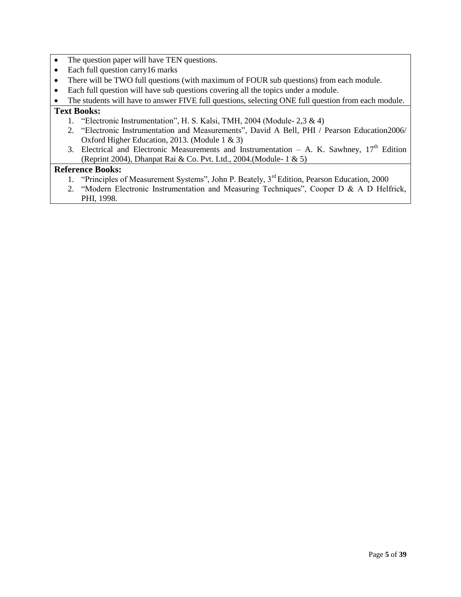- The question paper will have TEN questions.
- Each full question carry 16 marks
- There will be TWO full questions (with maximum of FOUR sub questions) from each module.
- Each full question will have sub questions covering all the topics under a module.
- The students will have to answer FIVE full questions, selecting ONE full question from each module.

### **Text Books:**

- 1. "Electronic Instrumentation", H. S. Kalsi, TMH, 2004 (Module- 2,3 & 4)
- 2. "Electronic Instrumentation and Measurements", David A Bell, PHI / Pearson Education2006/ Oxford Higher Education, 2013. (Module 1 & 3)
- 3. Electrical and Electronic Measurements and Instrumentation A. K. Sawhney,  $17<sup>th</sup>$  Edition (Reprint 2004), Dhanpat Rai & Co. Pvt. Ltd., 2004.(Module- 1 & 5)

- 1. "Principles of Measurement Systems", John P. Beately, 3<sup>rd</sup> Edition, Pearson Education, 2000
- 2. "Modern Electronic Instrumentation and Measuring Techniques", Cooper D & A D Helfrick, PHI, 1998.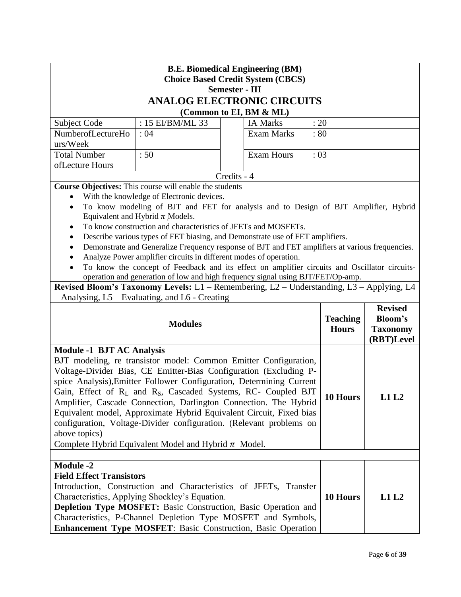| <b>B.E. Biomedical Engineering (BM)</b><br><b>Choice Based Credit System (CBCS)</b> |                                                                                                      |                       |                         |                 |                |
|-------------------------------------------------------------------------------------|------------------------------------------------------------------------------------------------------|-----------------------|-------------------------|-----------------|----------------|
|                                                                                     |                                                                                                      | <b>Semester - III</b> |                         |                 |                |
|                                                                                     | <b>ANALOG ELECTRONIC CIRCUITS</b>                                                                    |                       |                         |                 |                |
|                                                                                     |                                                                                                      |                       | (Common to EI, BM & ML) |                 |                |
| Subject Code                                                                        | : 15 EI/BM/ML 33                                                                                     |                       | <b>IA Marks</b>         | : 20            |                |
| NumberofLectureHo                                                                   | :04                                                                                                  |                       | <b>Exam Marks</b>       | :80             |                |
| urs/Week                                                                            |                                                                                                      |                       |                         |                 |                |
| <b>Total Number</b>                                                                 | :50                                                                                                  |                       | <b>Exam Hours</b>       | :03             |                |
| ofLecture Hours                                                                     |                                                                                                      |                       |                         |                 |                |
|                                                                                     |                                                                                                      | Credits - 4           |                         |                 |                |
|                                                                                     | Course Objectives: This course will enable the students<br>With the knowledge of Electronic devices. |                       |                         |                 |                |
| $\bullet$                                                                           | To know modeling of BJT and FET for analysis and to Design of BJT Amplifier, Hybrid                  |                       |                         |                 |                |
|                                                                                     | Equivalent and Hybrid $\pi$ Models.                                                                  |                       |                         |                 |                |
|                                                                                     | To know construction and characteristics of JFETs and MOSFETs.                                       |                       |                         |                 |                |
|                                                                                     | Describe various types of FET biasing, and Demonstrate use of FET amplifiers.                        |                       |                         |                 |                |
| $\bullet$                                                                           | Demonstrate and Generalize Frequency response of BJT and FET amplifiers at various frequencies.      |                       |                         |                 |                |
| $\bullet$                                                                           | Analyze Power amplifier circuits in different modes of operation.                                    |                       |                         |                 |                |
|                                                                                     | To know the concept of Feedback and its effect on amplifier circuits and Oscillator circuits-        |                       |                         |                 |                |
|                                                                                     | operation and generation of low and high frequency signal using BJT/FET/Op-amp.                      |                       |                         |                 |                |
|                                                                                     | Revised Bloom's Taxonomy Levels: L1 - Remembering, L2 - Understanding, L3 - Applying, L4             |                       |                         |                 |                |
|                                                                                     | - Analysing, L5 - Evaluating, and L6 - Creating                                                      |                       |                         |                 | <b>Revised</b> |
|                                                                                     |                                                                                                      |                       |                         | <b>Teaching</b> | <b>Bloom's</b> |
| <b>Modules</b>                                                                      |                                                                                                      |                       | <b>Hours</b>            | <b>Taxonomy</b> |                |
|                                                                                     |                                                                                                      |                       |                         | (RBT)Level      |                |
| <b>Module -1 BJT AC Analysis</b>                                                    |                                                                                                      |                       |                         |                 |                |
|                                                                                     | BJT modeling, re transistor model: Common Emitter Configuration,                                     |                       |                         |                 |                |
|                                                                                     | Voltage-Divider Bias, CE Emitter-Bias Configuration (Excluding P-                                    |                       |                         |                 |                |
|                                                                                     | spice Analysis), Emitter Follower Configuration, Determining Current                                 |                       |                         |                 |                |
|                                                                                     | Gain, Effect of RL and R <sub>S</sub> , Cascaded Systems, RC- Coupled BJT                            |                       |                         | 10 Hours        | L1 L2          |
|                                                                                     | Amplifier, Cascade Connection, Darlington Connection. The Hybrid                                     |                       |                         |                 |                |
|                                                                                     | Equivalent model, Approximate Hybrid Equivalent Circuit, Fixed bias                                  |                       |                         |                 |                |
|                                                                                     | configuration, Voltage-Divider configuration. (Relevant problems on                                  |                       |                         |                 |                |
| above topics)                                                                       |                                                                                                      |                       |                         |                 |                |
| Complete Hybrid Equivalent Model and Hybrid $\pi$ Model.                            |                                                                                                      |                       |                         |                 |                |
|                                                                                     |                                                                                                      |                       |                         |                 |                |
| <b>Module -2</b><br><b>Field Effect Transistors</b>                                 |                                                                                                      |                       |                         |                 |                |
|                                                                                     | Introduction, Construction and Characteristics of JFETs, Transfer                                    |                       |                         |                 |                |
|                                                                                     | Characteristics, Applying Shockley's Equation.                                                       |                       |                         | 10 Hours        | L1L2           |
|                                                                                     | Depletion Type MOSFET: Basic Construction, Basic Operation and                                       |                       |                         |                 |                |
|                                                                                     | Characteristics, P-Channel Depletion Type MOSFET and Symbols,                                        |                       |                         |                 |                |
|                                                                                     | <b>Enhancement Type MOSFET: Basic Construction, Basic Operation</b>                                  |                       |                         |                 |                |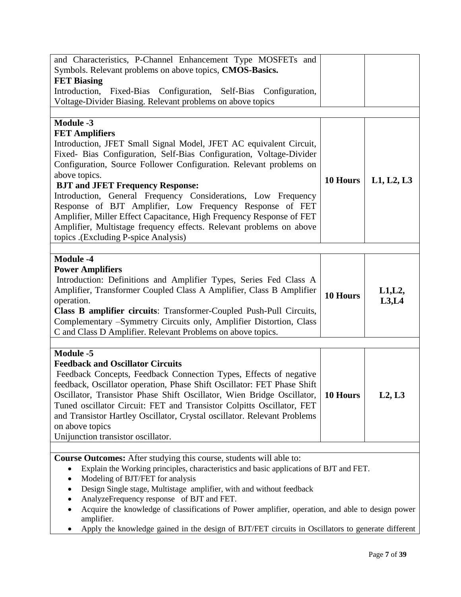| and Characteristics, P-Channel Enhancement Type MOSFETs and<br>Symbols. Relevant problems on above topics, CMOS-Basics.<br><b>FET Biasing</b><br>Introduction,<br>Fixed-Bias Configuration, Self-Bias Configuration,<br>Voltage-Divider Biasing. Relevant problems on above topics                                                                                                                                                                                                                                                                                                                                                           |          |                    |
|----------------------------------------------------------------------------------------------------------------------------------------------------------------------------------------------------------------------------------------------------------------------------------------------------------------------------------------------------------------------------------------------------------------------------------------------------------------------------------------------------------------------------------------------------------------------------------------------------------------------------------------------|----------|--------------------|
|                                                                                                                                                                                                                                                                                                                                                                                                                                                                                                                                                                                                                                              |          |                    |
| <b>Module -3</b><br><b>FET Amplifiers</b><br>Introduction, JFET Small Signal Model, JFET AC equivalent Circuit,<br>Fixed- Bias Configuration, Self-Bias Configuration, Voltage-Divider<br>Configuration, Source Follower Configuration. Relevant problems on<br>above topics.<br><b>BJT and JFET Frequency Response:</b><br>Introduction, General Frequency Considerations, Low Frequency<br>Response of BJT Amplifier, Low Frequency Response of FET<br>Amplifier, Miller Effect Capacitance, High Frequency Response of FET<br>Amplifier, Multistage frequency effects. Relevant problems on above<br>topics .(Excluding P-spice Analysis) | 10 Hours | L1, L2, L3         |
| <b>Module -4</b><br><b>Power Amplifiers</b><br>Introduction: Definitions and Amplifier Types, Series Fed Class A<br>Amplifier, Transformer Coupled Class A Amplifier, Class B Amplifier<br>operation.<br>Class B amplifier circuits: Transformer-Coupled Push-Pull Circuits,<br>Complementary -Symmetry Circuits only, Amplifier Distortion, Class<br>C and Class D Amplifier. Relevant Problems on above topics.                                                                                                                                                                                                                            | 10 Hours | $L1,L2$ ,<br>L3,L4 |
|                                                                                                                                                                                                                                                                                                                                                                                                                                                                                                                                                                                                                                              |          |                    |
| <b>Module -5</b><br><b>Feedback and Oscillator Circuits</b><br>Feedback Concepts, Feedback Connection Types, Effects of negative<br>feedback, Oscillator operation, Phase Shift Oscillator: FET Phase Shift<br>Oscillator, Transistor Phase Shift Oscillator, Wien Bridge Oscillator,<br>Tuned oscillator Circuit: FET and Transistor Colpitts Oscillator, FET<br>and Transistor Hartley Oscillator, Crystal oscillator. Relevant Problems<br>on above topics<br>Unijunction transistor oscillator.                                                                                                                                          | 10 Hours | L2, L3             |
|                                                                                                                                                                                                                                                                                                                                                                                                                                                                                                                                                                                                                                              |          |                    |
| Course Outcomes: After studying this course, students will able to:<br>Explain the Working principles, characteristics and basic applications of BJT and FET.<br>Modeling of BJT/FET for analysis<br>Design Single stage, Multistage amplifier, with and without feedback<br>٠<br>AnalyzeFrequency response of BJT and FET.<br>Acquire the knowledge of classifications of Power amplifier, operation, and able to design power<br>amplifier.<br>Apply the knowledge gained in the design of BJT/FET circuits in Oscillators to generate different                                                                                           |          |                    |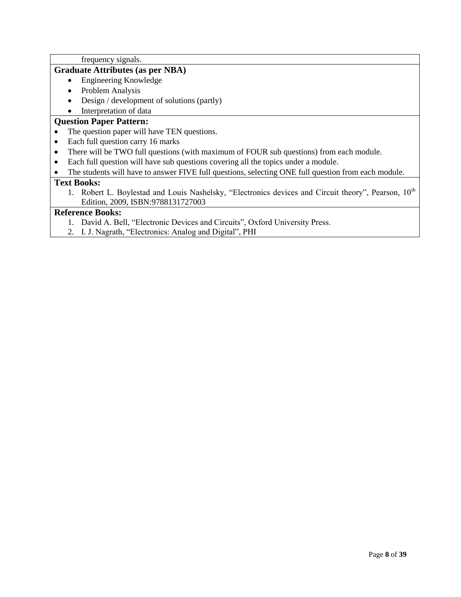frequency signals.

### **Graduate Attributes (as per NBA)**

- Engineering Knowledge
- Problem Analysis
- Design / development of solutions (partly)

# • Interpretation of data

### **Question Paper Pattern:**

- The question paper will have TEN questions.
- Each full question carry 16 marks
- There will be TWO full questions (with maximum of FOUR sub questions) from each module.
- Each full question will have sub questions covering all the topics under a module.
- The students will have to answer FIVE full questions, selecting ONE full question from each module.

### **Text Books:**

1. Robert L. Boylestad and Louis Nashelsky, "Electronics devices and Circuit theory", Pearson, 10<sup>th</sup> Edition, 2009, ISBN:9788131727003

- 1. David A. Bell, "Electronic Devices and Circuits", Oxford University Press.
- 2. I. J. Nagrath, "Electronics: Analog and Digital", PHI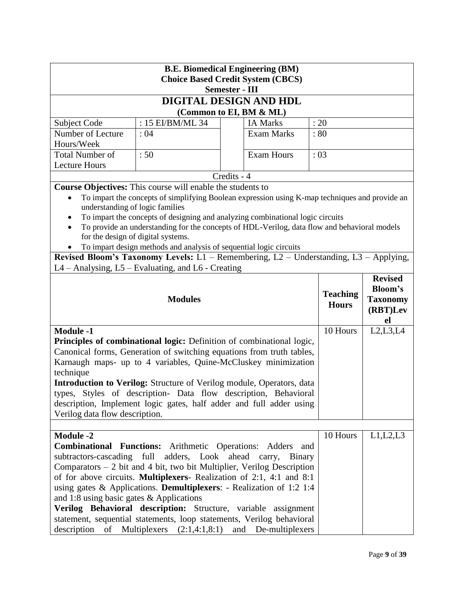| <b>B.E. Biomedical Engineering (BM)</b><br><b>Choice Based Credit System (CBCS)</b>                                                      |                                                                                                                                                      |                       |                                  |  |                                               |                  |
|------------------------------------------------------------------------------------------------------------------------------------------|------------------------------------------------------------------------------------------------------------------------------------------------------|-----------------------|----------------------------------|--|-----------------------------------------------|------------------|
|                                                                                                                                          |                                                                                                                                                      | <b>Semester - III</b> |                                  |  |                                               |                  |
|                                                                                                                                          | DIGITAL DESIGN AND HDL                                                                                                                               |                       |                                  |  |                                               |                  |
|                                                                                                                                          | (Common to EI, BM & ML)                                                                                                                              |                       |                                  |  |                                               |                  |
| Subject Code                                                                                                                             | : $15$ EI/BM/ML 34                                                                                                                                   |                       | <b>IA Marks</b>                  |  | : 20                                          |                  |
| Number of Lecture                                                                                                                        | : 04                                                                                                                                                 |                       | <b>Exam Marks</b>                |  | : 80                                          |                  |
| Hours/Week                                                                                                                               |                                                                                                                                                      |                       |                                  |  |                                               |                  |
| <b>Total Number of</b>                                                                                                                   | :50                                                                                                                                                  |                       | <b>Exam Hours</b>                |  | :03                                           |                  |
| <b>Lecture Hours</b>                                                                                                                     |                                                                                                                                                      |                       |                                  |  |                                               |                  |
|                                                                                                                                          |                                                                                                                                                      | Credits - 4           |                                  |  |                                               |                  |
|                                                                                                                                          | <b>Course Objectives:</b> This course will enable the students to                                                                                    |                       |                                  |  |                                               |                  |
| understanding of logic families                                                                                                          | To impart the concepts of simplifying Boolean expression using K-map techniques and provide an                                                       |                       |                                  |  |                                               |                  |
| $\bullet$                                                                                                                                | To impart the concepts of designing and analyzing combinational logic circuits                                                                       |                       |                                  |  |                                               |                  |
|                                                                                                                                          | To provide an understanding for the concepts of HDL-Verilog, data flow and behavioral models                                                         |                       |                                  |  |                                               |                  |
|                                                                                                                                          | for the design of digital systems.                                                                                                                   |                       |                                  |  |                                               |                  |
|                                                                                                                                          | To impart design methods and analysis of sequential logic circuits                                                                                   |                       |                                  |  |                                               |                  |
|                                                                                                                                          | Revised Bloom's Taxonomy Levels: L1 - Remembering, L2 - Understanding, L3 - Applying,                                                                |                       |                                  |  |                                               |                  |
|                                                                                                                                          | L4 – Analysing, L5 – Evaluating, and L6 - Creating                                                                                                   |                       |                                  |  |                                               |                  |
|                                                                                                                                          | <b>Revised</b><br><b>Teaching</b><br><b>Modules</b><br><b>Hours</b>                                                                                  |                       |                                  |  | <b>Bloom's</b><br><b>Taxonomy</b><br>(RBT)Lev |                  |
| <b>Module -1</b>                                                                                                                         |                                                                                                                                                      |                       |                                  |  | 10 Hours                                      | el<br>L2, L3, L4 |
|                                                                                                                                          | Principles of combinational logic: Definition of combinational logic,                                                                                |                       |                                  |  |                                               |                  |
|                                                                                                                                          | Canonical forms, Generation of switching equations from truth tables,                                                                                |                       |                                  |  |                                               |                  |
|                                                                                                                                          | Karnaugh maps- up to 4 variables, Quine-McCluskey minimization                                                                                       |                       |                                  |  |                                               |                  |
| technique                                                                                                                                |                                                                                                                                                      |                       |                                  |  |                                               |                  |
|                                                                                                                                          | <b>Introduction to Verilog:</b> Structure of Verilog module, Operators, data                                                                         |                       |                                  |  |                                               |                  |
|                                                                                                                                          | types, Styles of description- Data flow description, Behavioral                                                                                      |                       |                                  |  |                                               |                  |
|                                                                                                                                          | description, Implement logic gates, half adder and full adder using                                                                                  |                       |                                  |  |                                               |                  |
| Verilog data flow description.                                                                                                           |                                                                                                                                                      |                       |                                  |  |                                               |                  |
|                                                                                                                                          |                                                                                                                                                      |                       |                                  |  |                                               |                  |
| <b>Module -2</b>                                                                                                                         |                                                                                                                                                      |                       |                                  |  | 10 Hours                                      | L1,L2,L3         |
| subtractors-cascading full                                                                                                               | <b>Combinational Functions:</b> Arithmetic Operations: Adders and                                                                                    |                       | adders, Look ahead carry, Binary |  |                                               |                  |
|                                                                                                                                          | Comparators $-2$ bit and 4 bit, two bit Multiplier, Verilog Description                                                                              |                       |                                  |  |                                               |                  |
|                                                                                                                                          |                                                                                                                                                      |                       |                                  |  |                                               |                  |
|                                                                                                                                          | of for above circuits. <b>Multiplexers</b> - Realization of 2:1, 4:1 and 8:1<br>using gates & Applications. Demultiplexers: - Realization of 1:2 1:4 |                       |                                  |  |                                               |                  |
| and 1:8 using basic gates $&$ Applications                                                                                               |                                                                                                                                                      |                       |                                  |  |                                               |                  |
|                                                                                                                                          | Verilog Behavioral description: Structure, variable assignment                                                                                       |                       |                                  |  |                                               |                  |
| statement, sequential statements, loop statements, Verilog behavioral<br>description of Multiplexers $(2:1,4:1,8:1)$ and De-multiplexers |                                                                                                                                                      |                       |                                  |  |                                               |                  |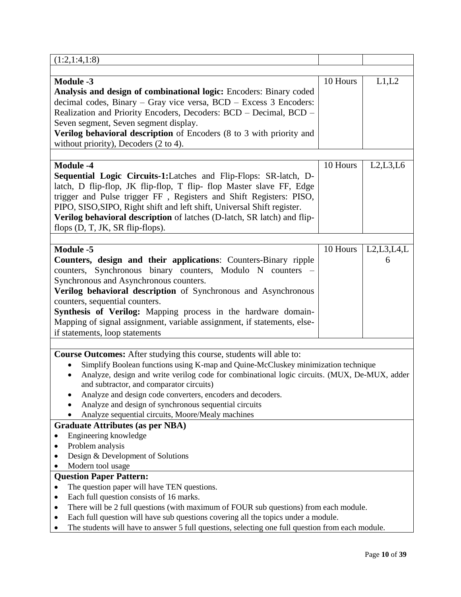| (1:2,1:4,1:8)                                                                                                                                                                                                                                                                                                                                                                                                                                                                                                                                                                                                                                                                                                                                                                                                                                                                     |          |                 |
|-----------------------------------------------------------------------------------------------------------------------------------------------------------------------------------------------------------------------------------------------------------------------------------------------------------------------------------------------------------------------------------------------------------------------------------------------------------------------------------------------------------------------------------------------------------------------------------------------------------------------------------------------------------------------------------------------------------------------------------------------------------------------------------------------------------------------------------------------------------------------------------|----------|-----------------|
|                                                                                                                                                                                                                                                                                                                                                                                                                                                                                                                                                                                                                                                                                                                                                                                                                                                                                   |          |                 |
| <b>Module -3</b><br>Analysis and design of combinational logic: Encoders: Binary coded<br>decimal codes, Binary - Gray vice versa, BCD - Excess 3 Encoders:<br>Realization and Priority Encoders, Decoders: BCD - Decimal, BCD -<br>Seven segment, Seven segment display.<br>Verilog behavioral description of Encoders (8 to 3 with priority and<br>without priority), Decoders $(2 \text{ to } 4)$ .                                                                                                                                                                                                                                                                                                                                                                                                                                                                            | 10 Hours | L1,L2           |
| <b>Module -4</b><br>Sequential Logic Circuits-1:Latches and Flip-Flops: SR-latch, D-<br>latch, D flip-flop, JK flip-flop, T flip- flop Master slave FF, Edge<br>trigger and Pulse trigger FF, Registers and Shift Registers: PISO,<br>PIPO, SISO, SIPO, Right shift and left shift, Universal Shift register.<br>Verilog behavioral description of latches (D-latch, SR latch) and flip-<br>flops $(D, T, JK, SR flip-flops)$ .                                                                                                                                                                                                                                                                                                                                                                                                                                                   | 10 Hours | L2, L3, L6      |
| <b>Module -5</b><br>Counters, design and their applications: Counters-Binary ripple<br>counters, Synchronous binary counters, Modulo N counters<br>Synchronous and Asynchronous counters.<br>Verilog behavioral description of Synchronous and Asynchronous<br>counters, sequential counters.<br>Synthesis of Verilog: Mapping process in the hardware domain-<br>Mapping of signal assignment, variable assignment, if statements, else-<br>if statements, loop statements                                                                                                                                                                                                                                                                                                                                                                                                       | 10 Hours | L2,L3,L4,L<br>6 |
| <b>Course Outcomes:</b> After studying this course, students will able to:<br>Simplify Boolean functions using K-map and Quine-McCluskey minimization technique<br>Analyze, design and write verilog code for combinational logic circuits. (MUX, De-MUX, adder<br>$\bullet$<br>and subtractor, and comparator circuits)<br>Analyze and design code converters, encoders and decoders.<br>Analyze and design of synchronous sequential circuits<br>Analyze sequential circuits, Moore/Mealy machines<br><b>Graduate Attributes (as per NBA)</b><br>Engineering knowledge<br>Problem analysis<br>Design & Development of Solutions<br>Modern tool usage<br><b>Question Paper Pattern:</b><br>The question paper will have TEN questions.<br>Each full question consists of 16 marks.<br>٠<br>There will be 2 full questions (with maximum of FOUR sub questions) from each module. |          |                 |
| Each full question will have sub questions covering all the topics under a module.<br>The students will have to answer 5 full questions, selecting one full question from each module.                                                                                                                                                                                                                                                                                                                                                                                                                                                                                                                                                                                                                                                                                            |          |                 |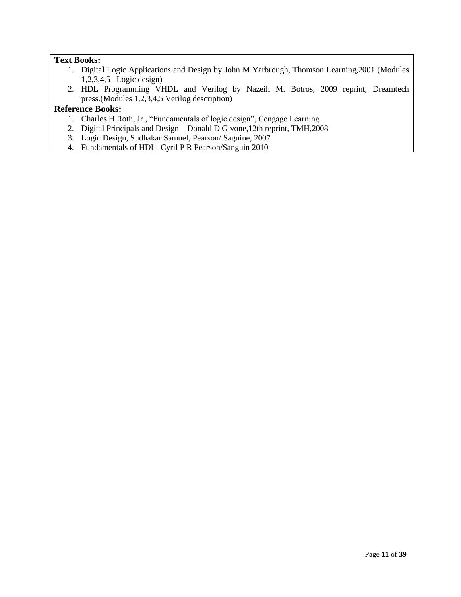### **Text Books:**

- 1. Digita**l** Logic Applications and Design by John M Yarbrough, Thomson Learning,2001 (Modules 1,2,3,4,5 –Logic design)
- 2. HDL Programming VHDL and Verilog by Nazeih M. Botros, 2009 reprint, Dreamtech press.(Modules 1,2,3,4,5 Verilog description)

- 1. Charles H Roth, Jr., "Fundamentals of logic design", Cengage Learning
- 2. Digital Principals and Design Donald D Givone,12th reprint, TMH,2008
- 3. Logic Design, Sudhakar Samuel, Pearson/ Saguine, 2007
- 4. Fundamentals of HDL- Cyril P R Pearson/Sanguin 2010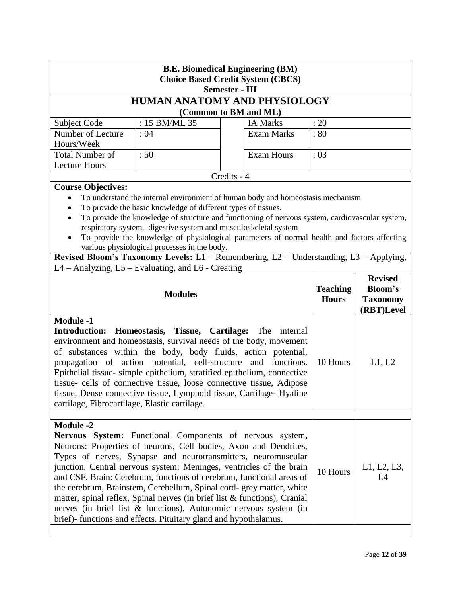| <b>B.E. Biomedical Engineering (BM)</b><br><b>Choice Based Credit System (CBCS)</b>                                                                                                                                                                                                                                                                                                                                                                                                                                                                                                                                                                                                             |                                                                                                                                                                                  |                                                                                                                                                                                                                                                                                  |          |        |
|-------------------------------------------------------------------------------------------------------------------------------------------------------------------------------------------------------------------------------------------------------------------------------------------------------------------------------------------------------------------------------------------------------------------------------------------------------------------------------------------------------------------------------------------------------------------------------------------------------------------------------------------------------------------------------------------------|----------------------------------------------------------------------------------------------------------------------------------------------------------------------------------|----------------------------------------------------------------------------------------------------------------------------------------------------------------------------------------------------------------------------------------------------------------------------------|----------|--------|
|                                                                                                                                                                                                                                                                                                                                                                                                                                                                                                                                                                                                                                                                                                 |                                                                                                                                                                                  | <b>Semester - III</b>                                                                                                                                                                                                                                                            |          |        |
|                                                                                                                                                                                                                                                                                                                                                                                                                                                                                                                                                                                                                                                                                                 |                                                                                                                                                                                  | HUMAN ANATOMY AND PHYSIOLOGY                                                                                                                                                                                                                                                     |          |        |
|                                                                                                                                                                                                                                                                                                                                                                                                                                                                                                                                                                                                                                                                                                 |                                                                                                                                                                                  | (Common to BM and ML)                                                                                                                                                                                                                                                            |          |        |
| Subject Code                                                                                                                                                                                                                                                                                                                                                                                                                                                                                                                                                                                                                                                                                    | : 15 BM/ML 35                                                                                                                                                                    | <b>IA Marks</b>                                                                                                                                                                                                                                                                  | : 20     |        |
| Number of Lecture<br>Hours/Week                                                                                                                                                                                                                                                                                                                                                                                                                                                                                                                                                                                                                                                                 | :04                                                                                                                                                                              | <b>Exam Marks</b>                                                                                                                                                                                                                                                                | :80      |        |
| <b>Total Number of</b>                                                                                                                                                                                                                                                                                                                                                                                                                                                                                                                                                                                                                                                                          | :50                                                                                                                                                                              | <b>Exam Hours</b>                                                                                                                                                                                                                                                                | :03      |        |
| <b>Lecture Hours</b>                                                                                                                                                                                                                                                                                                                                                                                                                                                                                                                                                                                                                                                                            |                                                                                                                                                                                  |                                                                                                                                                                                                                                                                                  |          |        |
|                                                                                                                                                                                                                                                                                                                                                                                                                                                                                                                                                                                                                                                                                                 |                                                                                                                                                                                  | Credits - 4                                                                                                                                                                                                                                                                      |          |        |
| <b>Course Objectives:</b>                                                                                                                                                                                                                                                                                                                                                                                                                                                                                                                                                                                                                                                                       | To provide the basic knowledge of different types of tissues.<br>respiratory system, digestive system and musculoskeletal system<br>various physiological processes in the body. | To understand the internal environment of human body and homeostasis mechanism<br>To provide the knowledge of structure and functioning of nervous system, cardiovascular system,<br>To provide the knowledge of physiological parameters of normal health and factors affecting |          |        |
|                                                                                                                                                                                                                                                                                                                                                                                                                                                                                                                                                                                                                                                                                                 |                                                                                                                                                                                  | Revised Bloom's Taxonomy Levels: $L1$ – Remembering, $L2$ – Understanding, $L3$ – Applying,                                                                                                                                                                                      |          |        |
|                                                                                                                                                                                                                                                                                                                                                                                                                                                                                                                                                                                                                                                                                                 | L4 - Analyzing, L5 - Evaluating, and L6 - Creating                                                                                                                               |                                                                                                                                                                                                                                                                                  |          |        |
|                                                                                                                                                                                                                                                                                                                                                                                                                                                                                                                                                                                                                                                                                                 | <b>Revised</b><br><b>Teaching</b><br><b>Bloom's</b><br><b>Modules</b><br><b>Hours</b><br><b>Taxonomy</b><br>(RBT)Level                                                           |                                                                                                                                                                                                                                                                                  |          |        |
| <b>Module -1</b><br><b>Introduction:</b><br>Homeostasis, Tissue, Cartilage: The<br>internal<br>environment and homeostasis, survival needs of the body, movement<br>of substances within the body, body fluids, action potential,<br>propagation of action potential, cell-structure<br>and functions.<br>Epithelial tissue- simple epithelium, stratified epithelium, connective<br>tissue- cells of connective tissue, loose connective tissue, Adipose<br>tissue, Dense connective tissue, Lymphoid tissue, Cartilage- Hyaline<br>cartilage, Fibrocartilage, Elastic cartilage.                                                                                                              |                                                                                                                                                                                  |                                                                                                                                                                                                                                                                                  | 10 Hours | L1, L2 |
|                                                                                                                                                                                                                                                                                                                                                                                                                                                                                                                                                                                                                                                                                                 |                                                                                                                                                                                  |                                                                                                                                                                                                                                                                                  |          |        |
| <b>Module -2</b><br>Nervous System: Functional Components of nervous system,<br>Neurons: Properties of neurons, Cell bodies, Axon and Dendrites,<br>Types of nerves, Synapse and neurotransmitters, neuromuscular<br>junction. Central nervous system: Meninges, ventricles of the brain<br>L1, L2, L3,<br>10 Hours<br>and CSF. Brain: Cerebrum, functions of cerebrum, functional areas of<br>L4<br>the cerebrum, Brainstem, Cerebellum, Spinal cord- grey matter, white<br>matter, spinal reflex, Spinal nerves (in brief list $&$ functions), Cranial<br>nerves (in brief list & functions), Autonomic nervous system (in<br>brief)-functions and effects. Pituitary gland and hypothalamus. |                                                                                                                                                                                  |                                                                                                                                                                                                                                                                                  |          |        |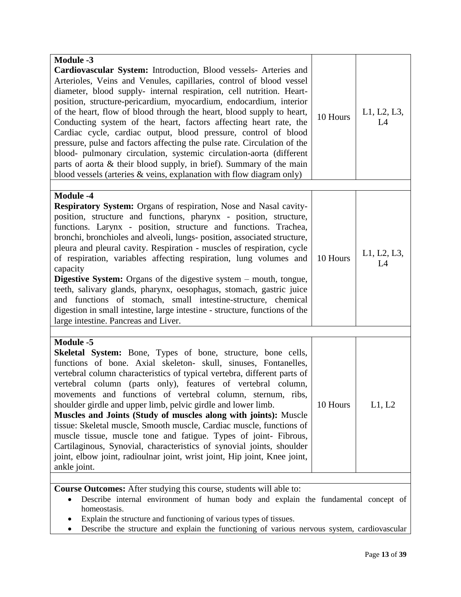| <b>Module -3</b><br>Cardiovascular System: Introduction, Blood vessels- Arteries and<br>Arterioles, Veins and Venules, capillaries, control of blood vessel<br>diameter, blood supply- internal respiration, cell nutrition. Heart-<br>position, structure-pericardium, myocardium, endocardium, interior                                                                                                                                                                                                                                                                                                                                                                                                                                                                                                                   |          |                   |
|-----------------------------------------------------------------------------------------------------------------------------------------------------------------------------------------------------------------------------------------------------------------------------------------------------------------------------------------------------------------------------------------------------------------------------------------------------------------------------------------------------------------------------------------------------------------------------------------------------------------------------------------------------------------------------------------------------------------------------------------------------------------------------------------------------------------------------|----------|-------------------|
| of the heart, flow of blood through the heart, blood supply to heart,<br>Conducting system of the heart, factors affecting heart rate, the<br>Cardiac cycle, cardiac output, blood pressure, control of blood<br>pressure, pulse and factors affecting the pulse rate. Circulation of the<br>blood- pulmonary circulation, systemic circulation-aorta (different<br>parts of aorta & their blood supply, in brief). Summary of the main                                                                                                                                                                                                                                                                                                                                                                                     | 10 Hours | L1, L2, L3,<br>L4 |
| blood vessels (arteries $\&$ veins, explanation with flow diagram only)                                                                                                                                                                                                                                                                                                                                                                                                                                                                                                                                                                                                                                                                                                                                                     |          |                   |
| <b>Module -4</b>                                                                                                                                                                                                                                                                                                                                                                                                                                                                                                                                                                                                                                                                                                                                                                                                            |          |                   |
| <b>Respiratory System:</b> Organs of respiration, Nose and Nasal cavity-<br>position, structure and functions, pharynx - position, structure,<br>functions. Larynx - position, structure and functions. Trachea,<br>bronchi, bronchioles and alveoli, lungs- position, associated structure,<br>pleura and pleural cavity. Respiration - muscles of respiration, cycle<br>of respiration, variables affecting respiration, lung volumes and<br>capacity<br><b>Digestive System:</b> Organs of the digestive system – mouth, tongue,<br>teeth, salivary glands, pharynx, oesophagus, stomach, gastric juice<br>and functions of stomach, small intestine-structure, chemical<br>digestion in small intestine, large intestine - structure, functions of the<br>large intestine. Pancreas and Liver.                          | 10 Hours | L1, L2, L3,<br>L4 |
|                                                                                                                                                                                                                                                                                                                                                                                                                                                                                                                                                                                                                                                                                                                                                                                                                             |          |                   |
| <b>Module -5</b><br><b>Skeletal System:</b> Bone, Types of bone, structure, bone cells,<br>functions of bone. Axial skeleton- skull, sinuses, Fontanelles,<br>vertebral column characteristics of typical vertebra, different parts of<br>vertebral column (parts only), features of vertebral column,<br>movements and functions of vertebral column, sternum, ribs,<br>shoulder girdle and upper limb, pelvic girdle and lower limb.<br>Muscles and Joints (Study of muscles along with joints): Muscle<br>tissue: Skeletal muscle, Smooth muscle, Cardiac muscle, functions of<br>muscle tissue, muscle tone and fatigue. Types of joint- Fibrous,<br>Cartilaginous, Synovial, characteristics of synovial joints, shoulder<br>joint, elbow joint, radioulnar joint, wrist joint, Hip joint, Knee joint,<br>ankle joint. | 10 Hours | L1, L2            |
| Course Outcomes: After studying this course, students will able to:                                                                                                                                                                                                                                                                                                                                                                                                                                                                                                                                                                                                                                                                                                                                                         |          |                   |

 Describe internal environment of human body and explain the fundamental concept of homeostasis.

Explain the structure and functioning of various types of tissues.

• Describe the structure and explain the functioning of various nervous system, cardiovascular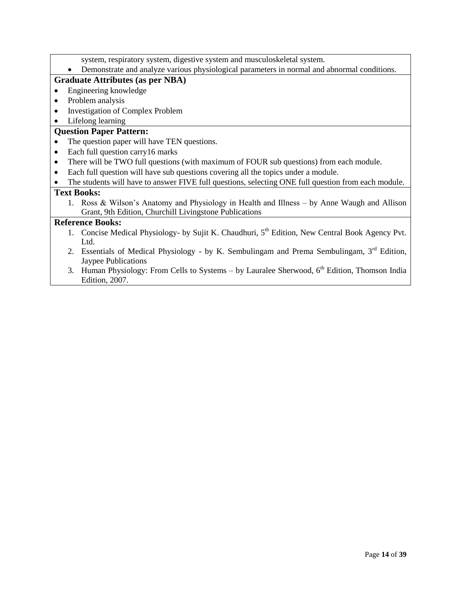- system, respiratory system, digestive system and musculoskeletal system.
- Demonstrate and analyze various physiological parameters in normal and abnormal conditions.

### **Graduate Attributes (as per NBA)**

- Engineering knowledge
- Problem analysis
- Investigation of Complex Problem
- Lifelong learning

### **Question Paper Pattern:**

- The question paper will have TEN questions.
- Each full question carry16 marks
- There will be TWO full questions (with maximum of FOUR sub questions) from each module.
- Each full question will have sub questions covering all the topics under a module.
- The students will have to answer FIVE full questions, selecting ONE full question from each module.

### **Text Books:**

1. Ross & Wilson's Anatomy and Physiology in Health and Illness – by Anne Waugh and Allison Grant, 9th Edition, Churchill Livingstone Publications

- 1. Concise Medical Physiology- by Sujit K. Chaudhuri, 5<sup>th</sup> Edition, New Central Book Agency Pvt. Ltd.
- 2. Essentials of Medical Physiology by K. Sembulingam and Prema Sembulingam,  $3<sup>rd</sup>$  Edition, Jaypee Publications
- 3. Human Physiology: From Cells to Systems by Lauralee Sherwood,  $6<sup>th</sup>$  Edition, Thomson India Edition, 2007.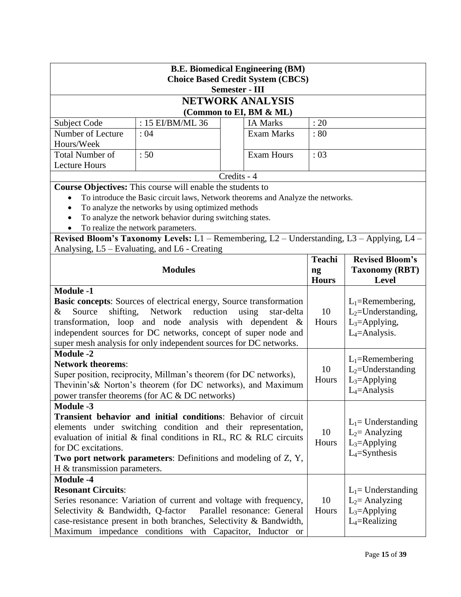| <b>B.E. Biomedical Engineering (BM)</b><br><b>Choice Based Credit System (CBCS)</b> |                                                                                                                                  |                             |               |                        |
|-------------------------------------------------------------------------------------|----------------------------------------------------------------------------------------------------------------------------------|-----------------------------|---------------|------------------------|
|                                                                                     |                                                                                                                                  | <b>Semester - III</b>       |               |                        |
|                                                                                     |                                                                                                                                  | <b>NETWORK ANALYSIS</b>     |               |                        |
|                                                                                     |                                                                                                                                  | (Common to EI, BM & ML)     |               |                        |
| <b>Subject Code</b>                                                                 | : 15 EI/BM/ML 36                                                                                                                 | <b>IA Marks</b>             | : 20          |                        |
| Number of Lecture                                                                   | :04                                                                                                                              | <b>Exam Marks</b>           | : 80          |                        |
| Hours/Week                                                                          |                                                                                                                                  |                             |               |                        |
| <b>Total Number of</b>                                                              | :50                                                                                                                              | <b>Exam Hours</b>           | :03           |                        |
| <b>Lecture Hours</b>                                                                |                                                                                                                                  |                             |               |                        |
|                                                                                     |                                                                                                                                  | Credits - 4                 |               |                        |
|                                                                                     | Course Objectives: This course will enable the students to                                                                       |                             |               |                        |
|                                                                                     | To introduce the Basic circuit laws, Network theorems and Analyze the networks.                                                  |                             |               |                        |
| $\bullet$                                                                           | To analyze the networks by using optimized methods                                                                               |                             |               |                        |
|                                                                                     | To analyze the network behavior during switching states.                                                                         |                             |               |                        |
|                                                                                     | To realize the network parameters.<br>Revised Bloom's Taxonomy Levels: L1 - Remembering, L2 - Understanding, L3 - Applying, L4 - |                             |               |                        |
|                                                                                     | Analysing, L5 – Evaluating, and L6 - Creating                                                                                    |                             |               |                        |
|                                                                                     |                                                                                                                                  |                             | <b>Teachi</b> | <b>Revised Bloom's</b> |
|                                                                                     | <b>Modules</b>                                                                                                                   |                             | ng            | <b>Taxonomy (RBT)</b>  |
|                                                                                     |                                                                                                                                  |                             | <b>Hours</b>  | <b>Level</b>           |
| <b>Module -1</b>                                                                    |                                                                                                                                  |                             |               |                        |
|                                                                                     | <b>Basic concepts:</b> Sources of electrical energy, Source transformation                                                       |                             |               | $L_1$ =Remembering,    |
| Source<br>shifting,<br>&                                                            | Network<br>reduction                                                                                                             | using<br>star-delta         | 10            | $L_2$ =Understanding,  |
|                                                                                     | transformation, loop and node analysis with dependent $\&$                                                                       |                             | Hours         | $L_3$ =Applying,       |
|                                                                                     | independent sources for DC networks, concept of super node and                                                                   |                             |               | $L_4$ =Analysis.       |
|                                                                                     | super mesh analysis for only independent sources for DC networks.                                                                |                             |               |                        |
| <b>Module -2</b>                                                                    |                                                                                                                                  |                             |               |                        |
| <b>Network theorems:</b>                                                            |                                                                                                                                  |                             |               | $L_1$ =Remembering     |
|                                                                                     | Super position, reciprocity, Millman's theorem (for DC networks),                                                                |                             | 10            | $L_2$ =Understanding   |
|                                                                                     | Thevinin's & Norton's theorem (for DC networks), and Maximum                                                                     |                             | Hours         | $L_3 =$ Applying       |
|                                                                                     | power transfer theorems (for AC & DC networks)                                                                                   |                             |               | $L_4$ =Analysis        |
| <b>Module -3</b>                                                                    |                                                                                                                                  |                             |               |                        |
|                                                                                     | Transient behavior and initial conditions: Behavior of circuit                                                                   |                             |               | $L_1$ = Understanding  |
|                                                                                     | elements under switching condition and their representation,                                                                     |                             | 10            | $L_2$ = Analyzing      |
|                                                                                     | evaluation of initial & final conditions in RL, RC & RLC circuits                                                                |                             | Hours         | $L_3 =$ Applying       |
| for DC excitations.                                                                 |                                                                                                                                  |                             |               | $L_4$ =Synthesis       |
|                                                                                     | Two port network parameters: Definitions and modeling of Z, Y,                                                                   |                             |               |                        |
| $H \&$ transmission parameters.                                                     |                                                                                                                                  |                             |               |                        |
| <b>Module -4</b>                                                                    |                                                                                                                                  |                             |               |                        |
| <b>Resonant Circuits:</b>                                                           |                                                                                                                                  |                             |               | $L_1$ = Understanding  |
|                                                                                     | Series resonance: Variation of current and voltage with frequency,                                                               |                             | 10            | $L_2$ = Analyzing      |
| Selectivity & Bandwidth, Q-factor                                                   |                                                                                                                                  | Parallel resonance: General | Hours         | $L_3 =$ Applying       |
|                                                                                     | case-resistance present in both branches, Selectivity & Bandwidth,                                                               |                             |               | $L_4$ =Realizing       |
|                                                                                     | Maximum impedance conditions with Capacitor, Inductor or                                                                         |                             |               |                        |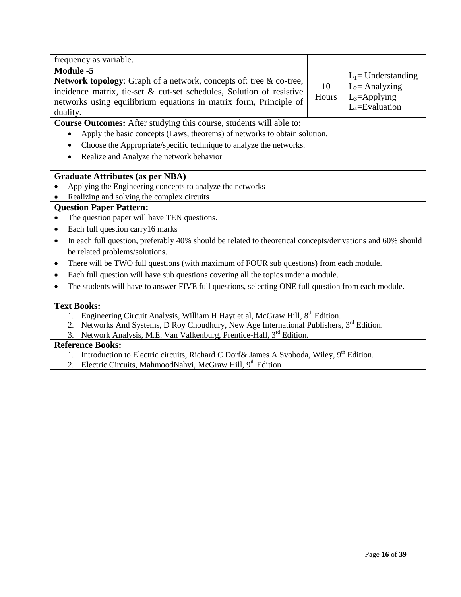| frequency as variable.                                                                                                                                                                                                                                 |             |                                                                                    |  |  |
|--------------------------------------------------------------------------------------------------------------------------------------------------------------------------------------------------------------------------------------------------------|-------------|------------------------------------------------------------------------------------|--|--|
| <b>Module -5</b><br><b>Network topology:</b> Graph of a network, concepts of: tree & co-tree,<br>incidence matrix, tie-set & cut-set schedules, Solution of resistive<br>networks using equilibrium equations in matrix form, Principle of<br>duality. | 10<br>Hours | $L_1$ = Understanding<br>$L_2$ = Analyzing<br>$L_3$ =Applying<br>$L_4$ =Evaluation |  |  |
| <b>Course Outcomes:</b> After studying this course, students will able to:                                                                                                                                                                             |             |                                                                                    |  |  |
| Apply the basic concepts (Laws, theorems) of networks to obtain solution.                                                                                                                                                                              |             |                                                                                    |  |  |
| Choose the Appropriate/specific technique to analyze the networks.                                                                                                                                                                                     |             |                                                                                    |  |  |
| Realize and Analyze the network behavior                                                                                                                                                                                                               |             |                                                                                    |  |  |
| <b>Graduate Attributes (as per NBA)</b>                                                                                                                                                                                                                |             |                                                                                    |  |  |
| Applying the Engineering concepts to analyze the networks                                                                                                                                                                                              |             |                                                                                    |  |  |
| Realizing and solving the complex circuits                                                                                                                                                                                                             |             |                                                                                    |  |  |
| <b>Question Paper Pattern:</b>                                                                                                                                                                                                                         |             |                                                                                    |  |  |
| The question paper will have TEN questions.                                                                                                                                                                                                            |             |                                                                                    |  |  |
| Each full question carry 16 marks<br>$\bullet$                                                                                                                                                                                                         |             |                                                                                    |  |  |
| In each full question, preferably 40% should be related to theoretical concepts/derivations and 60% should<br>$\bullet$                                                                                                                                |             |                                                                                    |  |  |
| be related problems/solutions.                                                                                                                                                                                                                         |             |                                                                                    |  |  |
| There will be TWO full questions (with maximum of FOUR sub questions) from each module.<br>$\bullet$                                                                                                                                                   |             |                                                                                    |  |  |
| Each full question will have sub questions covering all the topics under a module.<br>$\bullet$                                                                                                                                                        |             |                                                                                    |  |  |
| The students will have to answer FIVE full questions, selecting ONE full question from each module.<br>$\bullet$                                                                                                                                       |             |                                                                                    |  |  |
| <b>Text Books:</b>                                                                                                                                                                                                                                     |             |                                                                                    |  |  |
| Engineering Circuit Analysis, William H Hayt et al, McGraw Hill, 8 <sup>th</sup> Edition.                                                                                                                                                              |             |                                                                                    |  |  |
| Networks And Systems, D Roy Choudhury, New Age International Publishers, 3 <sup>rd</sup> Edition.<br>2.                                                                                                                                                |             |                                                                                    |  |  |
| Network Analysis, M.E. Van Valkenburg, Prentice-Hall, 3rd Edition.<br>3.                                                                                                                                                                               |             |                                                                                    |  |  |
| <b>Reference Books:</b>                                                                                                                                                                                                                                |             |                                                                                    |  |  |

## 1. Introduction to Electric circuits, Richard C Dorf & James A Svoboda, Wiley, 9<sup>th</sup> Edition.

2. Electric Circuits, MahmoodNahvi, McGraw Hill, 9<sup>th</sup> Edition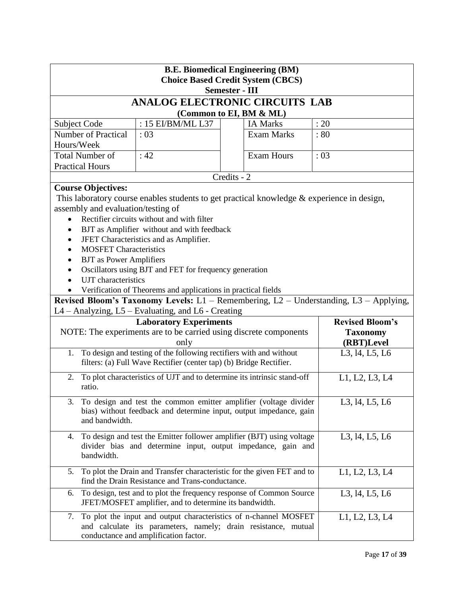| <b>B.E. Biomedical Engineering (BM)</b><br><b>Choice Based Credit System (CBCS)</b><br><b>Semester - III</b>                                                               |                                                                                                                                           |                                                                                                                                    |                                                                                       |  |
|----------------------------------------------------------------------------------------------------------------------------------------------------------------------------|-------------------------------------------------------------------------------------------------------------------------------------------|------------------------------------------------------------------------------------------------------------------------------------|---------------------------------------------------------------------------------------|--|
|                                                                                                                                                                            |                                                                                                                                           | <b>ANALOG ELECTRONIC CIRCUITS LAB</b>                                                                                              |                                                                                       |  |
|                                                                                                                                                                            |                                                                                                                                           | (Common to EI, BM & ML)                                                                                                            |                                                                                       |  |
| Subject Code                                                                                                                                                               | : 15 EI/BM/ML L37                                                                                                                         | <b>IA Marks</b>                                                                                                                    | : 20                                                                                  |  |
| <b>Number of Practical</b>                                                                                                                                                 | : 03                                                                                                                                      | <b>Exam Marks</b>                                                                                                                  | :80                                                                                   |  |
| Hours/Week                                                                                                                                                                 |                                                                                                                                           |                                                                                                                                    |                                                                                       |  |
| <b>Total Number of</b>                                                                                                                                                     | :42                                                                                                                                       | <b>Exam Hours</b>                                                                                                                  | :03                                                                                   |  |
| <b>Practical Hours</b>                                                                                                                                                     |                                                                                                                                           |                                                                                                                                    |                                                                                       |  |
|                                                                                                                                                                            |                                                                                                                                           | Credits - 2                                                                                                                        |                                                                                       |  |
| <b>Course Objectives:</b>                                                                                                                                                  |                                                                                                                                           |                                                                                                                                    |                                                                                       |  |
| assembly and evaluation/testing of                                                                                                                                         |                                                                                                                                           | This laboratory course enables students to get practical knowledge & experience in design,                                         |                                                                                       |  |
|                                                                                                                                                                            | Rectifier circuits without and with filter                                                                                                |                                                                                                                                    |                                                                                       |  |
|                                                                                                                                                                            | BJT as Amplifier without and with feedback                                                                                                |                                                                                                                                    |                                                                                       |  |
|                                                                                                                                                                            | JFET Characteristics and as Amplifier.                                                                                                    |                                                                                                                                    |                                                                                       |  |
| <b>MOSFET Characteristics</b>                                                                                                                                              |                                                                                                                                           |                                                                                                                                    |                                                                                       |  |
| <b>BJT</b> as Power Amplifiers                                                                                                                                             |                                                                                                                                           |                                                                                                                                    |                                                                                       |  |
|                                                                                                                                                                            | Oscillators using BJT and FET for frequency generation                                                                                    |                                                                                                                                    |                                                                                       |  |
| UJT characteristics                                                                                                                                                        |                                                                                                                                           |                                                                                                                                    |                                                                                       |  |
|                                                                                                                                                                            | Verification of Theorems and applications in practical fields                                                                             |                                                                                                                                    |                                                                                       |  |
|                                                                                                                                                                            |                                                                                                                                           |                                                                                                                                    | Revised Bloom's Taxonomy Levels: L1 - Remembering, L2 - Understanding, L3 - Applying, |  |
|                                                                                                                                                                            | L4 - Analyzing, L5 - Evaluating, and L6 - Creating                                                                                        |                                                                                                                                    |                                                                                       |  |
|                                                                                                                                                                            | <b>Laboratory Experiments</b>                                                                                                             |                                                                                                                                    | <b>Revised Bloom's</b>                                                                |  |
|                                                                                                                                                                            |                                                                                                                                           | NOTE: The experiments are to be carried using discrete components                                                                  | <b>Taxonomy</b>                                                                       |  |
|                                                                                                                                                                            | only                                                                                                                                      |                                                                                                                                    | (RBT)Level                                                                            |  |
| 1.                                                                                                                                                                         | To design and testing of the following rectifiers with and without<br>filters: (a) Full Wave Rectifier (center tap) (b) Bridge Rectifier. |                                                                                                                                    | L3, 14, L5, L6                                                                        |  |
| ratio.                                                                                                                                                                     |                                                                                                                                           | 2. To plot characteristics of UJT and to determine its intrinsic stand-off                                                         | L1, L2, L3, L4                                                                        |  |
| To design and test the common emitter amplifier (voltage divider<br>L3, 14, L5, L6<br>bias) without feedback and determine input, output impedance, gain<br>and bandwidth. |                                                                                                                                           |                                                                                                                                    |                                                                                       |  |
| 4. To design and test the Emitter follower amplifier (BJT) using voltage<br>L3, 14, L5, L6<br>divider bias and determine input, output impedance, gain and<br>bandwidth.   |                                                                                                                                           |                                                                                                                                    |                                                                                       |  |
| 5.                                                                                                                                                                         | find the Drain Resistance and Trans-conductance.                                                                                          | To plot the Drain and Transfer characteristic for the given FET and to                                                             | L1, L2, L3, L4                                                                        |  |
| 6.                                                                                                                                                                         | JFET/MOSFET amplifier, and to determine its bandwidth.                                                                                    | To design, test and to plot the frequency response of Common Source                                                                | L3, 14, L5, L6                                                                        |  |
| 7.                                                                                                                                                                         | conductance and amplification factor.                                                                                                     | To plot the input and output characteristics of n-channel MOSFET<br>and calculate its parameters, namely; drain resistance, mutual | L1, L2, L3, L4                                                                        |  |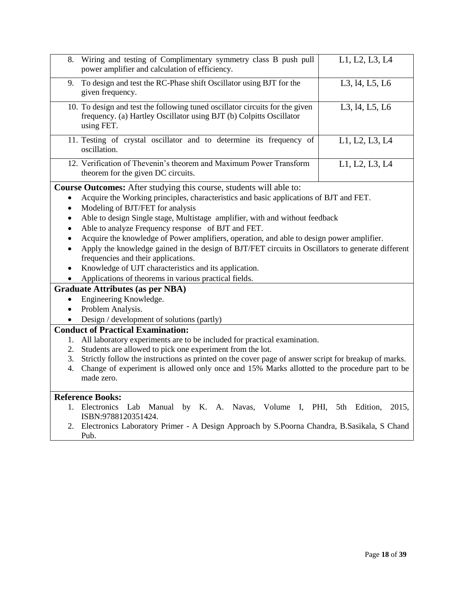| 8.        | Wiring and testing of Complimentary symmetry class B push pull<br>power amplifier and calculation of efficiency.                                                  | L1, L2, L3, L4      |
|-----------|-------------------------------------------------------------------------------------------------------------------------------------------------------------------|---------------------|
| 9.        | To design and test the RC-Phase shift Oscillator using BJT for the<br>given frequency.                                                                            | L3, 14, L5, L6      |
|           | 10. To design and test the following tuned oscillator circuits for the given<br>frequency. (a) Hartley Oscillator using BJT (b) Colpitts Oscillator<br>using FET. | L3, 14, L5, L6      |
|           | 11. Testing of crystal oscillator and to determine its frequency of<br>oscillation.                                                                               | L1, L2, L3, L4      |
|           | 12. Verification of Thevenin's theorem and Maximum Power Transform<br>theorem for the given DC circuits.                                                          | L1, L2, L3, L4      |
|           | Course Outcomes: After studying this course, students will able to:                                                                                               |                     |
|           | Acquire the Working principles, characteristics and basic applications of BJT and FET.                                                                            |                     |
| $\bullet$ | Modeling of BJT/FET for analysis                                                                                                                                  |                     |
|           | Able to design Single stage, Multistage amplifier, with and without feedback                                                                                      |                     |
|           | Able to analyze Frequency response of BJT and FET.                                                                                                                |                     |
|           | Acquire the knowledge of Power amplifiers, operation, and able to design power amplifier.                                                                         |                     |
|           | Apply the knowledge gained in the design of BJT/FET circuits in Oscillators to generate different                                                                 |                     |
|           | frequencies and their applications.                                                                                                                               |                     |
|           | Knowledge of UJT characteristics and its application.                                                                                                             |                     |
|           | Applications of theorems in various practical fields.                                                                                                             |                     |
|           | <b>Graduate Attributes (as per NBA)</b>                                                                                                                           |                     |
| $\bullet$ | Engineering Knowledge.                                                                                                                                            |                     |
| $\bullet$ | Problem Analysis.                                                                                                                                                 |                     |
|           | Design / development of solutions (partly)                                                                                                                        |                     |
|           | <b>Conduct of Practical Examination:</b>                                                                                                                          |                     |
| 1.        | All laboratory experiments are to be included for practical examination.                                                                                          |                     |
| 2.        | Students are allowed to pick one experiment from the lot.                                                                                                         |                     |
| 3.        | Strictly follow the instructions as printed on the cover page of answer script for breakup of marks.                                                              |                     |
| 4.        | Change of experiment is allowed only once and 15% Marks allotted to the procedure part to be                                                                      |                     |
|           | made zero.                                                                                                                                                        |                     |
|           |                                                                                                                                                                   |                     |
|           | <b>Reference Books:</b><br>1 Flectronics Lab Manual by K A Navas Volume I PHI                                                                                     | 5th Edition<br>2015 |
|           |                                                                                                                                                                   |                     |

- 1. Electronics Lab Manual by K. A. Navas, Volume I, PHI, 5th Edition, 2015, ISBN:9788120351424.
- 2. Electronics Laboratory Primer A Design Approach by S.Poorna Chandra, B.Sasikala, S Chand Pub.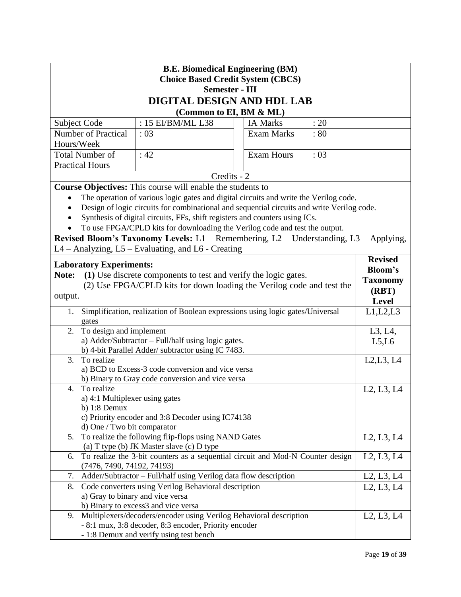| <b>B.E. Biomedical Engineering (BM)</b> |                                                                                            |                   |      |                                                  |
|-----------------------------------------|--------------------------------------------------------------------------------------------|-------------------|------|--------------------------------------------------|
|                                         | <b>Choice Based Credit System (CBCS)</b><br><b>Semester - III</b>                          |                   |      |                                                  |
|                                         | DIGITAL DESIGN AND HDL LAB                                                                 |                   |      |                                                  |
|                                         | (Common to EI, BM & ML)                                                                    |                   |      |                                                  |
| <b>Subject Code</b>                     | : 15 EI/BM/ML L38                                                                          | <b>IA Marks</b>   | : 20 |                                                  |
| <b>Number of Practical</b>              | :03                                                                                        | <b>Exam Marks</b> | : 80 |                                                  |
| Hours/Week                              |                                                                                            |                   |      |                                                  |
| <b>Total Number of</b>                  | : 42                                                                                       | <b>Exam Hours</b> | :03  |                                                  |
| <b>Practical Hours</b>                  |                                                                                            |                   |      |                                                  |
|                                         | Credits - 2                                                                                |                   |      |                                                  |
|                                         | <b>Course Objectives:</b> This course will enable the students to                          |                   |      |                                                  |
|                                         | The operation of various logic gates and digital circuits and write the Verilog code.      |                   |      |                                                  |
|                                         | Design of logic circuits for combinational and sequential circuits and write Verilog code. |                   |      |                                                  |
|                                         | Synthesis of digital circuits, FFs, shift registers and counters using ICs.                |                   |      |                                                  |
|                                         | To use FPGA/CPLD kits for downloading the Verilog code and test the output.                |                   |      |                                                  |
|                                         | Revised Bloom's Taxonomy Levels: L1 - Remembering, L2 - Understanding, L3 - Applying,      |                   |      |                                                  |
|                                         | L4 - Analyzing, L5 - Evaluating, and L6 - Creating                                         |                   |      |                                                  |
| <b>Laboratory Experiments:</b>          |                                                                                            |                   |      | <b>Revised</b>                                   |
| Note:                                   | (1) Use discrete components to test and verify the logic gates.                            |                   |      | <b>Bloom's</b>                                   |
|                                         | (2) Use FPGA/CPLD kits for down loading the Verilog code and test the                      |                   |      | <b>Taxonomy</b>                                  |
| output.                                 |                                                                                            |                   |      | (RBT)                                            |
|                                         |                                                                                            |                   |      | Level                                            |
| 1.<br>gates                             | Simplification, realization of Boolean expressions using logic gates/Universal             |                   |      | L1, L2, L3                                       |
| To design and implement<br>2.           |                                                                                            |                   |      | L3, L4,                                          |
|                                         | a) Adder/Subtractor - Full/half using logic gates.                                         |                   |      | L5,L6                                            |
|                                         | b) 4-bit Parallel Adder/ subtractor using IC 7483.                                         |                   |      |                                                  |
| To realize<br>3.                        |                                                                                            |                   |      | L2, L3, L4                                       |
|                                         | a) BCD to Excess-3 code conversion and vice versa                                          |                   |      |                                                  |
|                                         | b) Binary to Gray code conversion and vice versa                                           |                   |      |                                                  |
| To realize<br>4.                        |                                                                                            |                   |      | L2, L3, L4                                       |
| a) 4:1 Multiplexer using gates          |                                                                                            |                   |      |                                                  |
| b) $1:8$ Demux                          | c) Priority encoder and 3:8 Decoder using IC74138                                          |                   |      |                                                  |
| d) One / Two bit comparator             |                                                                                            |                   |      |                                                  |
| 5.                                      | To realize the following flip-flops using NAND Gates                                       |                   |      | L2, L3, L4                                       |
|                                         | (a) T type (b) JK Master slave (c) D type                                                  |                   |      |                                                  |
| 6.                                      | To realize the 3-bit counters as a sequential circuit and Mod-N Counter design             |                   |      | L2, L3, L4                                       |
| (7476, 7490, 74192, 74193)              |                                                                                            |                   |      |                                                  |
| 7.                                      | Adder/Subtractor - Full/half using Verilog data flow description                           |                   |      | L <sub>2</sub> , L <sub>3</sub> , L <sub>4</sub> |
| 8.                                      | Code converters using Verilog Behavioral description                                       |                   |      | L2, L3, L4                                       |
| a) Gray to binary and vice versa        |                                                                                            |                   |      |                                                  |
|                                         | b) Binary to excess3 and vice versa                                                        |                   |      |                                                  |
| 9.                                      | Multiplexers/decoders/encoder using Verilog Behavioral description                         |                   |      | L2, L3, L4                                       |
|                                         | - 8:1 mux, 3:8 decoder, 8:3 encoder, Priority encoder                                      |                   |      |                                                  |
|                                         | - 1:8 Demux and verify using test bench                                                    |                   |      |                                                  |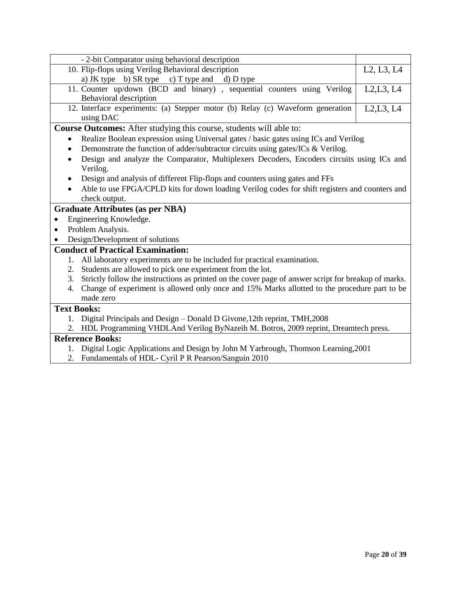|                    | - 2-bit Comparator using behavioral description                                                         |            |
|--------------------|---------------------------------------------------------------------------------------------------------|------------|
|                    | 10. Flip-flops using Verilog Behavioral description                                                     | L2, L3, L4 |
|                    | a) JK type b) SR type c) T type and d) D type                                                           |            |
|                    | 11. Counter up/down (BCD and binary), sequential counters using Verilog<br>Behavioral description       | L2,L3, L4  |
|                    | 12. Interface experiments: (a) Stepper motor (b) Relay (c) Waveform generation<br>using DAC             | L2, L3, L4 |
|                    | <b>Course Outcomes:</b> After studying this course, students will able to:                              |            |
|                    | Realize Boolean expression using Universal gates / basic gates using ICs and Verilog                    |            |
| $\bullet$          | Demonstrate the function of adder/subtractor circuits using gates/ICs & Verilog.                        |            |
|                    | Design and analyze the Comparator, Multiplexers Decoders, Encoders circuits using ICs and               |            |
|                    | Verilog.                                                                                                |            |
|                    | Design and analysis of different Flip-flops and counters using gates and FFs                            |            |
|                    | Able to use FPGA/CPLD kits for down loading Verilog codes for shift registers and counters and          |            |
|                    | check output.                                                                                           |            |
|                    | <b>Graduate Attributes (as per NBA)</b>                                                                 |            |
| ٠                  | Engineering Knowledge.                                                                                  |            |
| $\bullet$          | Problem Analysis.                                                                                       |            |
|                    | Design/Development of solutions                                                                         |            |
|                    | <b>Conduct of Practical Examination:</b>                                                                |            |
|                    | 1. All laboratory experiments are to be included for practical examination.                             |            |
|                    | 2. Students are allowed to pick one experiment from the lot.                                            |            |
|                    | 3. Strictly follow the instructions as printed on the cover page of answer script for breakup of marks. |            |
| 4.                 | Change of experiment is allowed only once and 15% Marks allotted to the procedure part to be            |            |
|                    | made zero                                                                                               |            |
| <b>Text Books:</b> |                                                                                                         |            |
|                    | 1. Digital Principals and Design - Donald D Givone, 12th reprint, TMH, 2008                             |            |
|                    | 2. HDL Programming VHDLAnd Verilog ByNazeih M. Botros, 2009 reprint, Dreamtech press.                   |            |
|                    | <b>Reference Books:</b>                                                                                 |            |

- 1. Digital Logic Applications and Design by John M Yarbrough, Thomson Learning,2001
- 2. Fundamentals of HDL- Cyril P R Pearson/Sanguin 2010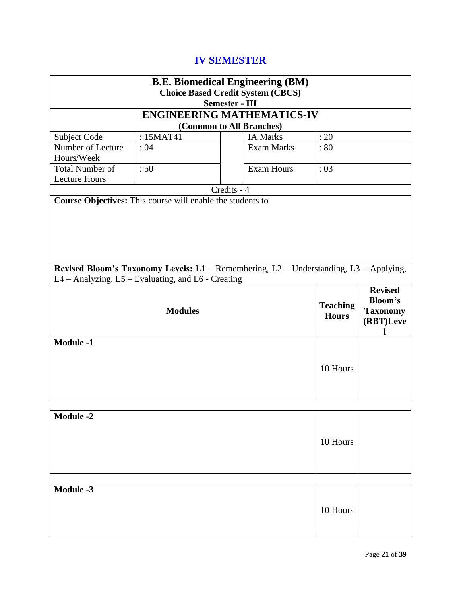# **IV SEMESTER**

| <b>B.E. Biomedical Engineering (BM)</b> |                                                                                       |             |                          |                 |                 |
|-----------------------------------------|---------------------------------------------------------------------------------------|-------------|--------------------------|-----------------|-----------------|
|                                         | <b>Choice Based Credit System (CBCS)</b>                                              |             |                          |                 |                 |
| <b>Semester - III</b>                   |                                                                                       |             |                          |                 |                 |
|                                         | <b>ENGINEERING MATHEMATICS-IV</b>                                                     |             |                          |                 |                 |
|                                         |                                                                                       |             | (Common to All Branches) |                 |                 |
| Subject Code                            | : 15MAT41                                                                             |             | <b>IA Marks</b>          | : 20            |                 |
| Number of Lecture                       | :04                                                                                   |             | <b>Exam Marks</b>        | :80             |                 |
| Hours/Week                              |                                                                                       |             |                          |                 |                 |
| <b>Total Number of</b>                  | :50                                                                                   |             | <b>Exam Hours</b>        | :03             |                 |
| <b>Lecture Hours</b>                    |                                                                                       | Credits - 4 |                          |                 |                 |
|                                         |                                                                                       |             |                          |                 |                 |
|                                         | Course Objectives: This course will enable the students to                            |             |                          |                 |                 |
|                                         |                                                                                       |             |                          |                 |                 |
|                                         |                                                                                       |             |                          |                 |                 |
|                                         |                                                                                       |             |                          |                 |                 |
|                                         |                                                                                       |             |                          |                 |                 |
|                                         |                                                                                       |             |                          |                 |                 |
|                                         | Revised Bloom's Taxonomy Levels: L1 - Remembering, L2 - Understanding, L3 - Applying, |             |                          |                 |                 |
|                                         | L4 - Analyzing, L5 - Evaluating, and L6 - Creating                                    |             |                          |                 |                 |
|                                         |                                                                                       |             |                          |                 | <b>Revised</b>  |
|                                         |                                                                                       |             |                          |                 |                 |
|                                         |                                                                                       |             |                          | <b>Teaching</b> | <b>Bloom's</b>  |
|                                         | <b>Modules</b>                                                                        |             |                          | <b>Hours</b>    | <b>Taxonomy</b> |
|                                         |                                                                                       |             |                          |                 | (RBT)Leve       |
|                                         |                                                                                       |             |                          |                 |                 |
| <b>Module -1</b>                        |                                                                                       |             |                          |                 |                 |
|                                         |                                                                                       |             |                          |                 |                 |
|                                         |                                                                                       |             |                          | 10 Hours        |                 |
|                                         |                                                                                       |             |                          |                 |                 |
|                                         |                                                                                       |             |                          |                 |                 |
|                                         |                                                                                       |             |                          |                 |                 |
| <b>Module -2</b>                        |                                                                                       |             |                          |                 |                 |
|                                         |                                                                                       |             |                          |                 |                 |
|                                         |                                                                                       |             |                          |                 |                 |
|                                         |                                                                                       |             |                          | 10 Hours        |                 |
|                                         |                                                                                       |             |                          |                 |                 |
|                                         |                                                                                       |             |                          |                 |                 |
|                                         |                                                                                       |             |                          |                 |                 |
| <b>Module -3</b>                        |                                                                                       |             |                          |                 |                 |
|                                         |                                                                                       |             |                          |                 |                 |
|                                         |                                                                                       |             |                          | 10 Hours        |                 |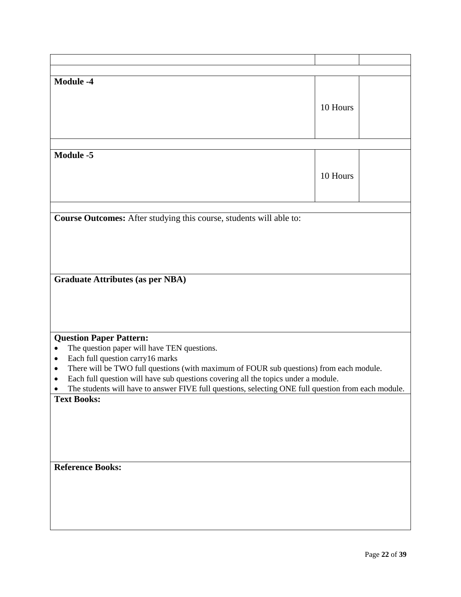| <b>Module -4</b>                                                                                    |          |  |
|-----------------------------------------------------------------------------------------------------|----------|--|
|                                                                                                     |          |  |
|                                                                                                     |          |  |
|                                                                                                     | 10 Hours |  |
|                                                                                                     |          |  |
|                                                                                                     |          |  |
|                                                                                                     |          |  |
|                                                                                                     |          |  |
| <b>Module -5</b>                                                                                    |          |  |
|                                                                                                     |          |  |
|                                                                                                     | 10 Hours |  |
|                                                                                                     |          |  |
|                                                                                                     |          |  |
|                                                                                                     |          |  |
| Course Outcomes: After studying this course, students will able to:                                 |          |  |
|                                                                                                     |          |  |
|                                                                                                     |          |  |
|                                                                                                     |          |  |
|                                                                                                     |          |  |
|                                                                                                     |          |  |
| <b>Graduate Attributes (as per NBA)</b>                                                             |          |  |
|                                                                                                     |          |  |
|                                                                                                     |          |  |
|                                                                                                     |          |  |
|                                                                                                     |          |  |
|                                                                                                     |          |  |
| <b>Question Paper Pattern:</b>                                                                      |          |  |
| The question paper will have TEN questions.<br>$\bullet$                                            |          |  |
| Each full question carry16 marks<br>$\bullet$                                                       |          |  |
| There will be TWO full questions (with maximum of FOUR sub questions) from each module.<br>٠        |          |  |
| Each full question will have sub questions covering all the topics under a module.<br>٠             |          |  |
| The students will have to answer FIVE full questions, selecting ONE full question from each module. |          |  |
| <b>Text Books:</b>                                                                                  |          |  |
|                                                                                                     |          |  |
|                                                                                                     |          |  |
|                                                                                                     |          |  |
|                                                                                                     |          |  |
|                                                                                                     |          |  |
|                                                                                                     |          |  |
| <b>Reference Books:</b>                                                                             |          |  |
|                                                                                                     |          |  |
|                                                                                                     |          |  |
|                                                                                                     |          |  |
|                                                                                                     |          |  |
|                                                                                                     |          |  |
|                                                                                                     |          |  |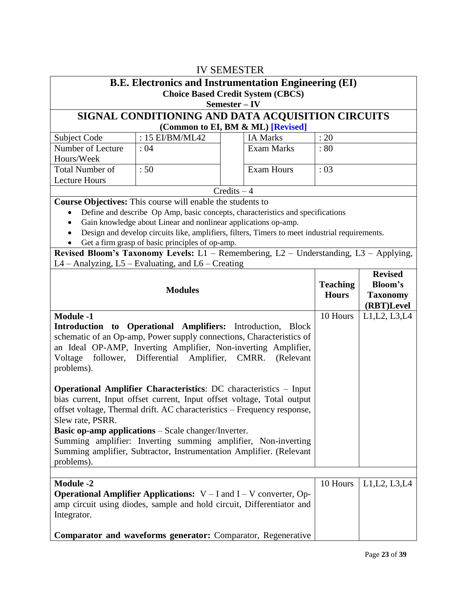| <b>IV SEMESTER</b>                                                    |                                                                                                                                                   |               |                                          |                 |                              |  |
|-----------------------------------------------------------------------|---------------------------------------------------------------------------------------------------------------------------------------------------|---------------|------------------------------------------|-----------------|------------------------------|--|
|                                                                       | <b>B.E. Electronics and Instrumentation Engineering (EI)</b>                                                                                      |               |                                          |                 |                              |  |
|                                                                       |                                                                                                                                                   | Semester-IV   | <b>Choice Based Credit System (CBCS)</b> |                 |                              |  |
|                                                                       | SIGNAL CONDITIONING AND DATA ACQUISITION CIRCUITS                                                                                                 |               |                                          |                 |                              |  |
|                                                                       |                                                                                                                                                   |               | (Common to EI, BM & ML) [Revised]        |                 |                              |  |
| Subject Code                                                          | : 15 EI/BM/ML42                                                                                                                                   |               | <b>IA Marks</b>                          | : 20            |                              |  |
| Number of Lecture<br>Hours/Week                                       | : 04                                                                                                                                              |               | <b>Exam Marks</b>                        | : 80            |                              |  |
| <b>Total Number of</b>                                                | :50                                                                                                                                               |               | <b>Exam Hours</b>                        | :03             |                              |  |
| <b>Lecture Hours</b>                                                  |                                                                                                                                                   | $Credits - 4$ |                                          |                 |                              |  |
|                                                                       | <b>Course Objectives:</b> This course will enable the students to                                                                                 |               |                                          |                 |                              |  |
|                                                                       | Define and describe Op Amp, basic concepts, characteristics and specifications                                                                    |               |                                          |                 |                              |  |
| ٠                                                                     | Gain knowledge about Linear and nonlinear applications op-amp.                                                                                    |               |                                          |                 |                              |  |
|                                                                       | Design and develop circuits like, amplifiers, filters, Timers to meet industrial requirements.                                                    |               |                                          |                 |                              |  |
|                                                                       | Get a firm grasp of basic principles of op-amp.                                                                                                   |               |                                          |                 |                              |  |
|                                                                       | Revised Bloom's Taxonomy Levels: L1 - Remembering, L2 - Understanding, L3 - Applying,<br>$L4 -$ Analyzing, $L5 -$ Evaluating, and $L6 -$ Creating |               |                                          |                 |                              |  |
|                                                                       |                                                                                                                                                   |               |                                          |                 | <b>Revised</b>               |  |
|                                                                       | <b>Modules</b>                                                                                                                                    |               |                                          | <b>Teaching</b> | <b>Bloom's</b>               |  |
|                                                                       |                                                                                                                                                   |               |                                          | <b>Hours</b>    | <b>Taxonomy</b>              |  |
| <b>Module -1</b>                                                      |                                                                                                                                                   |               |                                          | 10 Hours        | (RBT)Level<br>L1, L2, L3, L4 |  |
|                                                                       | Introduction to Operational Amplifiers: Introduction, Block                                                                                       |               |                                          |                 |                              |  |
|                                                                       | schematic of an Op-amp, Power supply connections, Characteristics of                                                                              |               |                                          |                 |                              |  |
|                                                                       | an Ideal OP-AMP, Inverting Amplifier, Non-inverting Amplifier,                                                                                    |               |                                          |                 |                              |  |
| Voltage                                                               | follower, Differential Amplifier, CMRR.                                                                                                           |               | (Relevant                                |                 |                              |  |
| problems).                                                            |                                                                                                                                                   |               |                                          |                 |                              |  |
|                                                                       |                                                                                                                                                   |               |                                          |                 |                              |  |
|                                                                       | <b>Operational Amplifier Characteristics: DC characteristics - Input</b>                                                                          |               |                                          |                 |                              |  |
|                                                                       | bias current, Input offset current, Input offset voltage, Total output                                                                            |               |                                          |                 |                              |  |
|                                                                       | offset voltage, Thermal drift. AC characteristics – Frequency response,                                                                           |               |                                          |                 |                              |  |
| Slew rate, PSRR.                                                      |                                                                                                                                                   |               |                                          |                 |                              |  |
|                                                                       | <b>Basic op-amp applications</b> – Scale changer/Inverter.                                                                                        |               |                                          |                 |                              |  |
|                                                                       | Summing amplifier: Inverting summing amplifier, Non-inverting                                                                                     |               |                                          |                 |                              |  |
|                                                                       | Summing amplifier, Subtractor, Instrumentation Amplifier. (Relevant                                                                               |               |                                          |                 |                              |  |
| problems).                                                            |                                                                                                                                                   |               |                                          |                 |                              |  |
| <b>Module -2</b>                                                      |                                                                                                                                                   |               |                                          | 10 Hours        | L1, L2, L3, L4               |  |
|                                                                       | <b>Operational Amplifier Applications:</b> $V - I$ and $I - V$ converter, Op-                                                                     |               |                                          |                 |                              |  |
|                                                                       |                                                                                                                                                   |               |                                          |                 |                              |  |
| amp circuit using diodes, sample and hold circuit, Differentiator and |                                                                                                                                                   |               |                                          |                 |                              |  |
| Integrator.                                                           |                                                                                                                                                   |               |                                          |                 |                              |  |
|                                                                       |                                                                                                                                                   |               |                                          |                 |                              |  |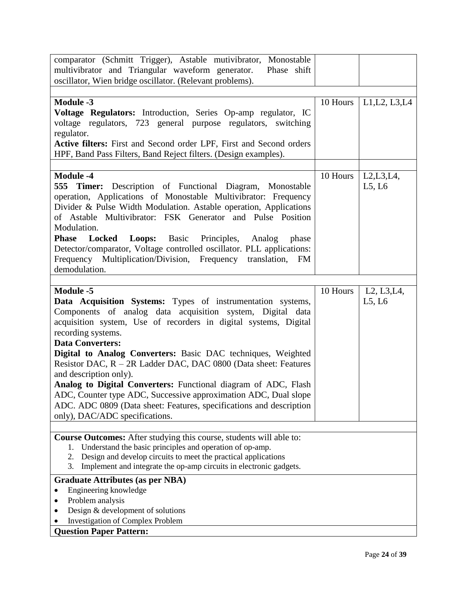| comparator (Schmitt Trigger), Astable mutivibrator, Monostable                                                                         |          |                                                    |
|----------------------------------------------------------------------------------------------------------------------------------------|----------|----------------------------------------------------|
| multivibrator and Triangular waveform generator.<br>Phase shift                                                                        |          |                                                    |
| oscillator, Wien bridge oscillator. (Relevant problems).                                                                               |          |                                                    |
|                                                                                                                                        |          |                                                    |
| <b>Module -3</b>                                                                                                                       | 10 Hours | L1, L2, L3, L4                                     |
| Voltage Regulators: Introduction, Series Op-amp regulator, IC                                                                          |          |                                                    |
| voltage regulators, 723 general purpose regulators, switching                                                                          |          |                                                    |
| regulator.                                                                                                                             |          |                                                    |
| Active filters: First and Second order LPF, First and Second orders                                                                    |          |                                                    |
| HPF, Band Pass Filters, Band Reject filters. (Design examples).                                                                        |          |                                                    |
|                                                                                                                                        |          |                                                    |
| <b>Module -4</b>                                                                                                                       | 10 Hours | $L2,L3,L4$ ,                                       |
| <b>555 Timer:</b><br>Description of Functional Diagram, Monostable                                                                     |          | L5, L6                                             |
| operation, Applications of Monostable Multivibrator: Frequency<br>Divider & Pulse Width Modulation. Astable operation, Applications    |          |                                                    |
| of Astable Multivibrator: FSK Generator and Pulse Position                                                                             |          |                                                    |
| Modulation.                                                                                                                            |          |                                                    |
| Phase Locked<br>Loops: Basic Principles, Analog<br>phase                                                                               |          |                                                    |
| Detector/comparator, Voltage controlled oscillator. PLL applications:                                                                  |          |                                                    |
| Frequency Multiplication/Division, Frequency<br>translation, FM                                                                        |          |                                                    |
| demodulation.                                                                                                                          |          |                                                    |
|                                                                                                                                        |          |                                                    |
| <b>Module -5</b>                                                                                                                       | 10 Hours | L <sub>2</sub> , L <sub>3</sub> , L <sub>4</sub> , |
| Data Acquisition Systems: Types of instrumentation systems,                                                                            |          | L5, L6                                             |
| Components of analog data acquisition system, Digital data                                                                             |          |                                                    |
| acquisition system, Use of recorders in digital systems, Digital                                                                       |          |                                                    |
| recording systems.                                                                                                                     |          |                                                    |
| <b>Data Converters:</b>                                                                                                                |          |                                                    |
| Digital to Analog Converters: Basic DAC techniques, Weighted                                                                           |          |                                                    |
| Resistor DAC, R - 2R Ladder DAC, DAC 0800 (Data sheet: Features                                                                        |          |                                                    |
| and description only).                                                                                                                 |          |                                                    |
| Analog to Digital Converters: Functional diagram of ADC, Flash                                                                         |          |                                                    |
| ADC, Counter type ADC, Successive approximation ADC, Dual slope                                                                        |          |                                                    |
| ADC. ADC 0809 (Data sheet: Features, specifications and description                                                                    |          |                                                    |
| only), DAC/ADC specifications.                                                                                                         |          |                                                    |
|                                                                                                                                        |          |                                                    |
| Course Outcomes: After studying this course, students will able to:                                                                    |          |                                                    |
| Understand the basic principles and operation of op-amp.<br>l.<br>Design and develop circuits to meet the practical applications<br>2. |          |                                                    |
| Implement and integrate the op-amp circuits in electronic gadgets.<br>3.                                                               |          |                                                    |
| <b>Graduate Attributes (as per NBA)</b>                                                                                                |          |                                                    |
| Engineering knowledge                                                                                                                  |          |                                                    |
| Problem analysis                                                                                                                       |          |                                                    |
| Design & development of solutions                                                                                                      |          |                                                    |
| <b>Investigation of Complex Problem</b>                                                                                                |          |                                                    |
| <b>Question Paper Pattern:</b>                                                                                                         |          |                                                    |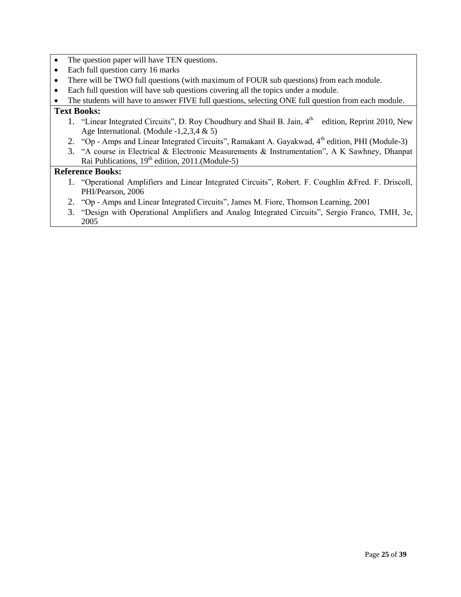- The question paper will have TEN questions.
- Each full question carry 16 marks
- There will be TWO full questions (with maximum of FOUR sub questions) from each module.
- Each full question will have sub questions covering all the topics under a module.
- The students will have to answer FIVE full questions, selecting ONE full question from each module.

### **Text Books:**

- 1. "Linear Integrated Circuits", D. Roy Choudhury and Shail B. Jain, 4<sup>th</sup> edition, Reprint 2010, New Age International. (Module -1,2,3,4 & 5)
- 2. "Op Amps and Linear Integrated Circuits", Ramakant A. Gayakwad,  $4<sup>th</sup>$  edition, PHI (Module-3)
- 3. "A course in Electrical & Electronic Measurements & Instrumentation", A K Sawhney, Dhanpat Rai Publications,  $19<sup>th</sup>$  edition, 2011.(Module-5)

- 1. "Operational Amplifiers and Linear Integrated Circuits", Robert. F. Coughlin &Fred. F. Driscoll, PHI/Pearson, 2006
- 2. "Op Amps and Linear Integrated Circuits", James M. Fiore, Thomson Learning, 2001
- 3. "Design with Operational Amplifiers and Analog Integrated Circuits", Sergio Franco, TMH, 3e, 2005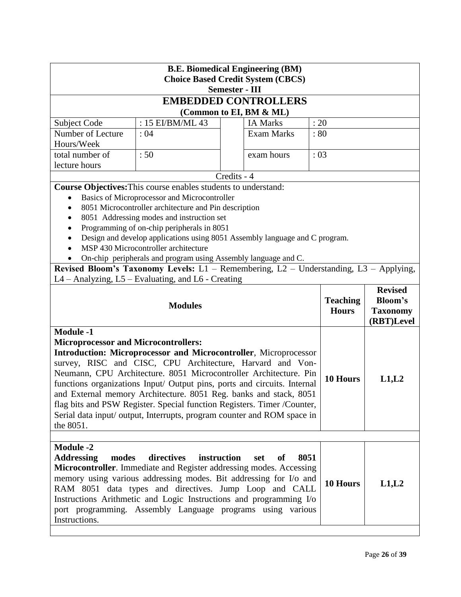| <b>B.E. Biomedical Engineering (BM)</b><br><b>Choice Based Credit System (CBCS)</b><br><b>Semester - III</b>                                                                                                                                                                                                                                                                                                                                                                                                                                                                                          |                                                                                                                                                                                                                                                                                                                                                                     |             |                             |       |                 |                               |
|-------------------------------------------------------------------------------------------------------------------------------------------------------------------------------------------------------------------------------------------------------------------------------------------------------------------------------------------------------------------------------------------------------------------------------------------------------------------------------------------------------------------------------------------------------------------------------------------------------|---------------------------------------------------------------------------------------------------------------------------------------------------------------------------------------------------------------------------------------------------------------------------------------------------------------------------------------------------------------------|-------------|-----------------------------|-------|-----------------|-------------------------------|
|                                                                                                                                                                                                                                                                                                                                                                                                                                                                                                                                                                                                       |                                                                                                                                                                                                                                                                                                                                                                     |             | <b>EMBEDDED CONTROLLERS</b> |       |                 |                               |
|                                                                                                                                                                                                                                                                                                                                                                                                                                                                                                                                                                                                       |                                                                                                                                                                                                                                                                                                                                                                     |             | (Common to EI, BM & ML)     |       |                 |                               |
| Subject Code                                                                                                                                                                                                                                                                                                                                                                                                                                                                                                                                                                                          | : 15 EI/BM/ML 43                                                                                                                                                                                                                                                                                                                                                    |             | <b>IA Marks</b>             | : 20  |                 |                               |
| Number of Lecture                                                                                                                                                                                                                                                                                                                                                                                                                                                                                                                                                                                     | : 04                                                                                                                                                                                                                                                                                                                                                                |             | <b>Exam Marks</b>           | :80   |                 |                               |
| Hours/Week                                                                                                                                                                                                                                                                                                                                                                                                                                                                                                                                                                                            |                                                                                                                                                                                                                                                                                                                                                                     |             |                             |       |                 |                               |
| total number of                                                                                                                                                                                                                                                                                                                                                                                                                                                                                                                                                                                       | :50                                                                                                                                                                                                                                                                                                                                                                 |             | exam hours                  | :03   |                 |                               |
| lecture hours                                                                                                                                                                                                                                                                                                                                                                                                                                                                                                                                                                                         |                                                                                                                                                                                                                                                                                                                                                                     |             |                             |       |                 |                               |
|                                                                                                                                                                                                                                                                                                                                                                                                                                                                                                                                                                                                       |                                                                                                                                                                                                                                                                                                                                                                     | Credits - 4 |                             |       |                 |                               |
|                                                                                                                                                                                                                                                                                                                                                                                                                                                                                                                                                                                                       | Course Objectives: This course enables students to understand:                                                                                                                                                                                                                                                                                                      |             |                             |       |                 |                               |
| $\bullet$                                                                                                                                                                                                                                                                                                                                                                                                                                                                                                                                                                                             | Basics of Microprocessor and Microcontroller<br>8051 Microcontroller architecture and Pin description                                                                                                                                                                                                                                                               |             |                             |       |                 |                               |
| $\bullet$                                                                                                                                                                                                                                                                                                                                                                                                                                                                                                                                                                                             | 8051 Addressing modes and instruction set                                                                                                                                                                                                                                                                                                                           |             |                             |       |                 |                               |
|                                                                                                                                                                                                                                                                                                                                                                                                                                                                                                                                                                                                       | Programming of on-chip peripherals in 8051                                                                                                                                                                                                                                                                                                                          |             |                             |       |                 |                               |
| $\bullet$                                                                                                                                                                                                                                                                                                                                                                                                                                                                                                                                                                                             | Design and develop applications using 8051 Assembly language and C program.                                                                                                                                                                                                                                                                                         |             |                             |       |                 |                               |
|                                                                                                                                                                                                                                                                                                                                                                                                                                                                                                                                                                                                       | MSP 430 Microcontroller architecture                                                                                                                                                                                                                                                                                                                                |             |                             |       |                 |                               |
|                                                                                                                                                                                                                                                                                                                                                                                                                                                                                                                                                                                                       | On-chip peripherals and program using Assembly language and C.                                                                                                                                                                                                                                                                                                      |             |                             |       |                 |                               |
|                                                                                                                                                                                                                                                                                                                                                                                                                                                                                                                                                                                                       | Revised Bloom's Taxonomy Levels: L1 - Remembering, L2 - Understanding, L3 - Applying,                                                                                                                                                                                                                                                                               |             |                             |       |                 |                               |
|                                                                                                                                                                                                                                                                                                                                                                                                                                                                                                                                                                                                       | L4 – Analyzing, L5 – Evaluating, and L6 - Creating                                                                                                                                                                                                                                                                                                                  |             |                             |       |                 |                               |
|                                                                                                                                                                                                                                                                                                                                                                                                                                                                                                                                                                                                       |                                                                                                                                                                                                                                                                                                                                                                     |             |                             |       | <b>Teaching</b> | <b>Revised</b><br>Bloom's     |
|                                                                                                                                                                                                                                                                                                                                                                                                                                                                                                                                                                                                       | <b>Modules</b>                                                                                                                                                                                                                                                                                                                                                      |             |                             |       | <b>Hours</b>    | <b>Taxonomy</b><br>(RBT)Level |
| <b>Module -1</b><br><b>Microprocessor and Microcontrollers:</b><br>Introduction: Microprocessor and Microcontroller, Microprocessor<br>survey, RISC and CISC, CPU Architecture, Harvard and Von-<br>Neumann, CPU Architecture. 8051 Microcontroller Architecture. Pin<br>10 Hours<br>functions organizations Input/ Output pins, ports and circuits. Internal<br>and External memory Architecture. 8051 Reg. banks and stack, 8051<br>flag bits and PSW Register. Special function Registers. Timer /Counter,<br>Serial data input/ output, Interrupts, program counter and ROM space in<br>the 8051. |                                                                                                                                                                                                                                                                                                                                                                     |             |                             | L1,L2 |                 |                               |
| <b>Module -2</b><br><b>Addressing</b><br>modes<br>Instructions.                                                                                                                                                                                                                                                                                                                                                                                                                                                                                                                                       | directives<br>instruction<br>Microcontroller. Immediate and Register addressing modes. Accessing<br>memory using various addressing modes. Bit addressing for I/o and<br>RAM 8051 data types and directives. Jump Loop and CALL<br>Instructions Arithmetic and Logic Instructions and programming I/o<br>port programming. Assembly Language programs using various |             | 8051<br>set<br>of           |       | 10 Hours        | L1,L2                         |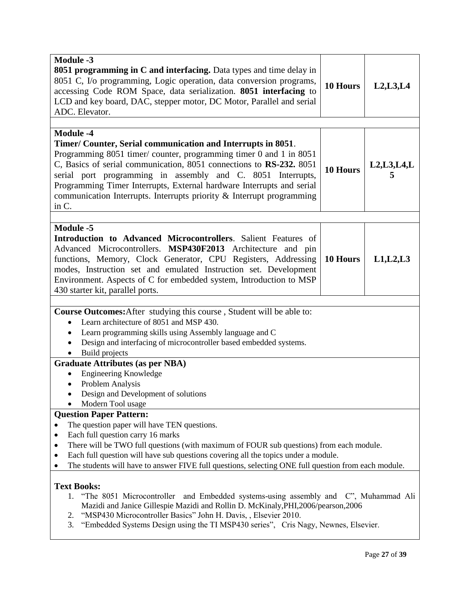| <b>Module -3</b><br><b>8051 programming in C and interfacing.</b> Data types and time delay in<br>8051 C, I/o programming, Logic operation, data conversion programs,<br>accessing Code ROM Space, data serialization. 8051 interfacing to<br>LCD and key board, DAC, stepper motor, DC Motor, Parallel and serial<br>ADC. Elevator.                                                                                                                                                                                                                                                                                                                                                                                                                                                              | 10 Hours        | L2, L3, L4    |  |
|---------------------------------------------------------------------------------------------------------------------------------------------------------------------------------------------------------------------------------------------------------------------------------------------------------------------------------------------------------------------------------------------------------------------------------------------------------------------------------------------------------------------------------------------------------------------------------------------------------------------------------------------------------------------------------------------------------------------------------------------------------------------------------------------------|-----------------|---------------|--|
| <b>Module -4</b><br>Timer/ Counter, Serial communication and Interrupts in 8051.<br>Programming 8051 timer/ counter, programming timer 0 and 1 in 8051<br>C, Basics of serial communication, 8051 connections to RS-232. 8051<br>serial port programming in assembly and C. 8051 Interrupts,<br>Programming Timer Interrupts, External hardware Interrupts and serial<br>communication Interrupts. Interrupts priority & Interrupt programming<br>in C.                                                                                                                                                                                                                                                                                                                                           | <b>10 Hours</b> | L2, L3, L4, L |  |
| <b>Module -5</b><br>Introduction to Advanced Microcontrollers. Salient Features of<br>Advanced Microcontrollers. MSP430F2013 Architecture and pin<br>functions, Memory, Clock Generator, CPU Registers, Addressing<br>modes, Instruction set and emulated Instruction set. Development<br>Environment. Aspects of C for embedded system, Introduction to MSP<br>430 starter kit, parallel ports.                                                                                                                                                                                                                                                                                                                                                                                                  | 10 Hours        | L1, L2, L3    |  |
| Course Outcomes: After studying this course, Student will be able to:<br>Learn architecture of 8051 and MSP 430.<br>$\bullet$<br>Learn programming skills using Assembly language and C<br>Design and interfacing of microcontroller based embedded systems.<br>Build projects<br><b>Graduate Attributes (as per NBA)</b><br><b>Engineering Knowledge</b><br>Problem Analysis<br>$\bullet$<br>Design and Development of solutions<br>Modern Tool usage                                                                                                                                                                                                                                                                                                                                            |                 |               |  |
| <b>Question Paper Pattern:</b><br>The question paper will have TEN questions.<br>Each full question carry 16 marks<br>٠<br>There will be TWO full questions (with maximum of FOUR sub questions) from each module.<br>٠<br>Each full question will have sub questions covering all the topics under a module.<br>The students will have to answer FIVE full questions, selecting ONE full question from each module.<br><b>Text Books:</b><br>"The 8051 Microcontroller and Embedded systems-using assembly and C", Muhammad Ali<br>1.<br>Mazidi and Janice Gillespie Mazidi and Rollin D. McKinaly, PHI, 2006/pearson, 2006<br>"MSP430 Microcontroller Basics" John H. Davis, , Elsevier 2010.<br>2.<br>"Embedded Systems Design using the TI MSP430 series", Cris Nagy, Newnes, Elsevier.<br>3. |                 |               |  |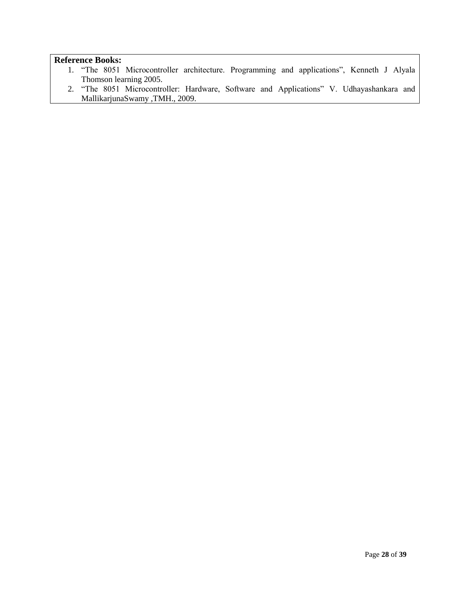- 1. "The 8051 Microcontroller architecture. Programming and applications", Kenneth J Alyala Thomson learning 2005.
- 2. "The 8051 Microcontroller: Hardware, Software and Applications" V. Udhayashankara and MallikarjunaSwamy ,TMH., 2009.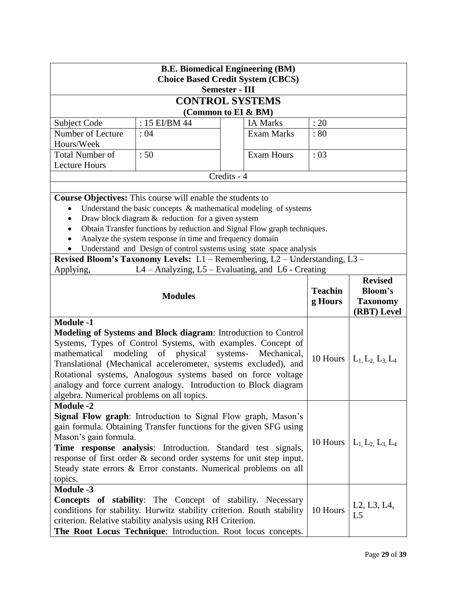| <b>B.E. Biomedical Engineering (BM)</b><br><b>Choice Based Credit System (CBCS)</b>                                                                                                                                                                                                                                                                                                                                                                                                                           |                                                                                                            |                                                                             |          |                                                                      |  |  |
|---------------------------------------------------------------------------------------------------------------------------------------------------------------------------------------------------------------------------------------------------------------------------------------------------------------------------------------------------------------------------------------------------------------------------------------------------------------------------------------------------------------|------------------------------------------------------------------------------------------------------------|-----------------------------------------------------------------------------|----------|----------------------------------------------------------------------|--|--|
|                                                                                                                                                                                                                                                                                                                                                                                                                                                                                                               |                                                                                                            | <b>Semester - III</b>                                                       |          |                                                                      |  |  |
|                                                                                                                                                                                                                                                                                                                                                                                                                                                                                                               |                                                                                                            | <b>CONTROL SYSTEMS</b>                                                      |          |                                                                      |  |  |
|                                                                                                                                                                                                                                                                                                                                                                                                                                                                                                               |                                                                                                            | (Common to EI & BM)                                                         |          |                                                                      |  |  |
| Subject Code                                                                                                                                                                                                                                                                                                                                                                                                                                                                                                  | : 15 EI/BM 44                                                                                              | <b>IA Marks</b>                                                             | : 20     |                                                                      |  |  |
| Number of Lecture                                                                                                                                                                                                                                                                                                                                                                                                                                                                                             | :04                                                                                                        | <b>Exam Marks</b>                                                           | :80      |                                                                      |  |  |
| Hours/Week                                                                                                                                                                                                                                                                                                                                                                                                                                                                                                    |                                                                                                            |                                                                             |          |                                                                      |  |  |
| <b>Total Number of</b>                                                                                                                                                                                                                                                                                                                                                                                                                                                                                        | :50                                                                                                        | <b>Exam Hours</b>                                                           | : 03     |                                                                      |  |  |
| <b>Lecture Hours</b>                                                                                                                                                                                                                                                                                                                                                                                                                                                                                          |                                                                                                            | Credits - 4                                                                 |          |                                                                      |  |  |
|                                                                                                                                                                                                                                                                                                                                                                                                                                                                                                               |                                                                                                            |                                                                             |          |                                                                      |  |  |
|                                                                                                                                                                                                                                                                                                                                                                                                                                                                                                               | Course Objectives: This course will enable the students to                                                 |                                                                             |          |                                                                      |  |  |
| $\bullet$                                                                                                                                                                                                                                                                                                                                                                                                                                                                                                     |                                                                                                            | Understand the basic concepts $\&$ mathematical modeling of systems         |          |                                                                      |  |  |
|                                                                                                                                                                                                                                                                                                                                                                                                                                                                                                               | Draw block diagram $&$ reduction for a given system                                                        |                                                                             |          |                                                                      |  |  |
|                                                                                                                                                                                                                                                                                                                                                                                                                                                                                                               |                                                                                                            | Obtain Transfer functions by reduction and Signal Flow graph techniques.    |          |                                                                      |  |  |
|                                                                                                                                                                                                                                                                                                                                                                                                                                                                                                               | Analyze the system response in time and frequency domain                                                   |                                                                             |          |                                                                      |  |  |
|                                                                                                                                                                                                                                                                                                                                                                                                                                                                                                               |                                                                                                            | Understand and Design of control systems using state space analysis         |          |                                                                      |  |  |
|                                                                                                                                                                                                                                                                                                                                                                                                                                                                                                               |                                                                                                            | Revised Bloom's Taxonomy Levels: L1 – Remembering, L2 – Understanding, L3 – |          |                                                                      |  |  |
| Applying,                                                                                                                                                                                                                                                                                                                                                                                                                                                                                                     |                                                                                                            | L4 - Analyzing, L5 - Evaluating, and L6 - Creating                          |          |                                                                      |  |  |
|                                                                                                                                                                                                                                                                                                                                                                                                                                                                                                               | <b>Revised</b><br><b>Teachin</b><br>Bloom's<br><b>Modules</b><br>g Hours<br><b>Taxonomy</b><br>(RBT) Level |                                                                             |          |                                                                      |  |  |
| <b>Module -1</b><br>Modeling of Systems and Block diagram: Introduction to Control<br>Systems, Types of Control Systems, with examples. Concept of<br>mathematical<br>modeling<br>of physical systems-<br>Mechanical,<br>10 Hours $  L_1, L_2, L_3, L_4$<br>Translational (Mechanical accelerometer, systems excluded), and<br>Rotational systems, Analogous systems based on force voltage<br>analogy and force current analogy. Introduction to Block diagram<br>algebra. Numerical problems on all topics. |                                                                                                            |                                                                             |          |                                                                      |  |  |
| <b>Module -2</b>                                                                                                                                                                                                                                                                                                                                                                                                                                                                                              |                                                                                                            |                                                                             |          |                                                                      |  |  |
| <b>Signal Flow graph:</b> Introduction to Signal Flow graph, Mason's<br>gain formula. Obtaining Transfer functions for the given SFG using<br>Mason's gain formula.<br>10 Hours $\vert L_1, L_2, L_3, L_4 \vert$<br>Time response analysis: Introduction. Standard test signals,<br>response of first order & second order systems for unit step input.<br>Steady state errors & Error constants. Numerical problems on all<br>topics.                                                                        |                                                                                                            |                                                                             |          |                                                                      |  |  |
| <b>Module -3</b><br>conditions for stability. Hurwitz stability criterion. Routh stability                                                                                                                                                                                                                                                                                                                                                                                                                    |                                                                                                            | <b>Concepts of stability:</b> The Concept of stability. Necessary           | 10 Hours | L <sub>2</sub> , L <sub>3</sub> , L <sub>4</sub> ,<br>L <sub>5</sub> |  |  |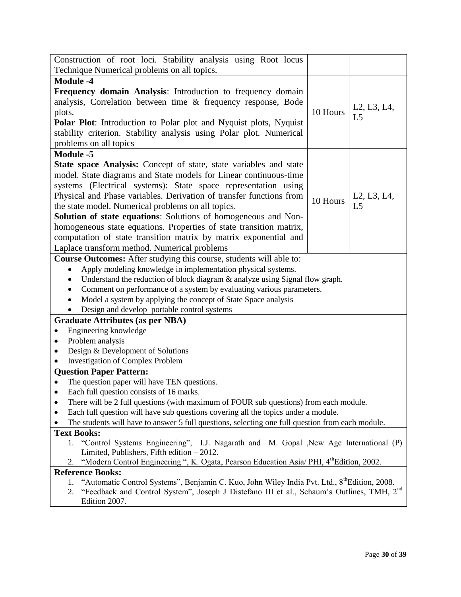| Construction of root loci. Stability analysis using Root locus                                                                            |          |                |
|-------------------------------------------------------------------------------------------------------------------------------------------|----------|----------------|
| Technique Numerical problems on all topics.                                                                                               |          |                |
| <b>Module -4</b>                                                                                                                          |          |                |
| Frequency domain Analysis: Introduction to frequency domain                                                                               |          |                |
| analysis, Correlation between time & frequency response, Bode                                                                             |          |                |
| plots.                                                                                                                                    | 10 Hours | L2, L3, L4,    |
| Polar Plot: Introduction to Polar plot and Nyquist plots, Nyquist                                                                         |          | L <sub>5</sub> |
| stability criterion. Stability analysis using Polar plot. Numerical                                                                       |          |                |
| problems on all topics                                                                                                                    |          |                |
| <b>Module -5</b>                                                                                                                          |          |                |
| State space Analysis: Concept of state, state variables and state                                                                         |          |                |
| model. State diagrams and State models for Linear continuous-time                                                                         |          |                |
| systems (Electrical systems): State space representation using                                                                            |          |                |
| Physical and Phase variables. Derivation of transfer functions from                                                                       |          | L2, L3, L4,    |
| the state model. Numerical problems on all topics.                                                                                        | 10 Hours | L <sub>5</sub> |
| Solution of state equations: Solutions of homogeneous and Non-                                                                            |          |                |
| homogeneous state equations. Properties of state transition matrix,                                                                       |          |                |
| computation of state transition matrix by matrix exponential and                                                                          |          |                |
| Laplace transform method. Numerical problems                                                                                              |          |                |
| <b>Course Outcomes:</b> After studying this course, students will able to:                                                                |          |                |
| Apply modeling knowledge in implementation physical systems.<br>$\bullet$                                                                 |          |                |
| Understand the reduction of block diagram & analyze using Signal flow graph.                                                              |          |                |
| Comment on performance of a system by evaluating various parameters.                                                                      |          |                |
| Model a system by applying the concept of State Space analysis                                                                            |          |                |
| Design and develop portable control systems                                                                                               |          |                |
| <b>Graduate Attributes (as per NBA)</b>                                                                                                   |          |                |
| Engineering knowledge                                                                                                                     |          |                |
| Problem analysis                                                                                                                          |          |                |
| Design & Development of Solutions                                                                                                         |          |                |
| <b>Investigation of Complex Problem</b>                                                                                                   |          |                |
| <b>Question Paper Pattern:</b>                                                                                                            |          |                |
| The question paper will have TEN questions.                                                                                               |          |                |
| Each full question consists of 16 marks.                                                                                                  |          |                |
| There will be 2 full questions (with maximum of FOUR sub questions) from each module.                                                     |          |                |
| Each full question will have sub questions covering all the topics under a module.<br>$\bullet$                                           |          |                |
| The students will have to answer 5 full questions, selecting one full question from each module.                                          |          |                |
| <b>Text Books:</b>                                                                                                                        |          |                |
| 1. "Control Systems Engineering", I.J. Nagarath and M. Gopal ,New Age International (P)                                                   |          |                |
| Limited, Publishers, Fifth edition $-2012$ .                                                                                              |          |                |
| "Modern Control Engineering ", K. Ogata, Pearson Education Asia/ PHI, 4th Edition, 2002.<br>2.                                            |          |                |
| <b>Reference Books:</b><br>"Automatic Control Systems", Benjamin C. Kuo, John Wiley India Pvt. Ltd., 8 <sup>th</sup> Edition, 2008.<br>1. |          |                |
| "Feedback and Control System", Joseph J Distefano III et al., Schaum's Outlines, TMH, 2 <sup>nd</sup><br>2.                               |          |                |
| Edition 2007.                                                                                                                             |          |                |
|                                                                                                                                           |          |                |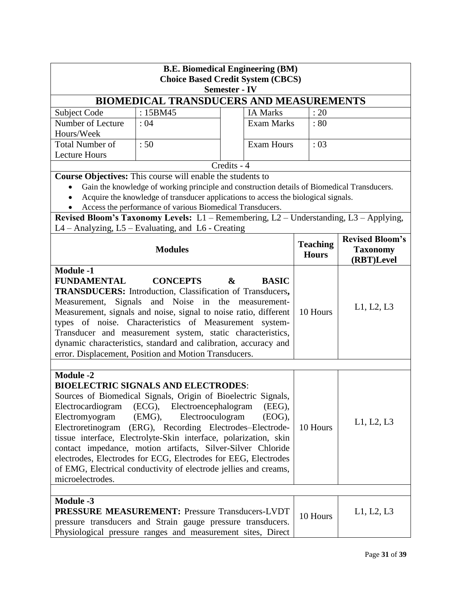| <b>B.E. Biomedical Engineering (BM)</b><br><b>Choice Based Credit System (CBCS)</b><br><b>Semester - IV</b>                                                                                                                                                                                                                                                                                                                                                                                                                                                                                                   |                                                            |                                                                                             |                           |                               |  |  |
|---------------------------------------------------------------------------------------------------------------------------------------------------------------------------------------------------------------------------------------------------------------------------------------------------------------------------------------------------------------------------------------------------------------------------------------------------------------------------------------------------------------------------------------------------------------------------------------------------------------|------------------------------------------------------------|---------------------------------------------------------------------------------------------|---------------------------|-------------------------------|--|--|
|                                                                                                                                                                                                                                                                                                                                                                                                                                                                                                                                                                                                               |                                                            | <b>BIOMEDICAL TRANSDUCERS AND MEASUREMENTS</b>                                              |                           |                               |  |  |
| <b>Subject Code</b>                                                                                                                                                                                                                                                                                                                                                                                                                                                                                                                                                                                           | : 15BM45                                                   | <b>IA Marks</b>                                                                             | : 20                      |                               |  |  |
| Number of Lecture                                                                                                                                                                                                                                                                                                                                                                                                                                                                                                                                                                                             | : 04                                                       | <b>Exam Marks</b>                                                                           | : 80                      |                               |  |  |
| Hours/Week                                                                                                                                                                                                                                                                                                                                                                                                                                                                                                                                                                                                    |                                                            |                                                                                             |                           |                               |  |  |
| <b>Total Number of</b>                                                                                                                                                                                                                                                                                                                                                                                                                                                                                                                                                                                        | :50                                                        |                                                                                             | <b>Exam Hours</b><br>: 03 |                               |  |  |
| <b>Lecture Hours</b>                                                                                                                                                                                                                                                                                                                                                                                                                                                                                                                                                                                          |                                                            |                                                                                             |                           |                               |  |  |
|                                                                                                                                                                                                                                                                                                                                                                                                                                                                                                                                                                                                               |                                                            | Credits - 4                                                                                 |                           |                               |  |  |
|                                                                                                                                                                                                                                                                                                                                                                                                                                                                                                                                                                                                               | Course Objectives: This course will enable the students to |                                                                                             |                           |                               |  |  |
|                                                                                                                                                                                                                                                                                                                                                                                                                                                                                                                                                                                                               |                                                            | Gain the knowledge of working principle and construction details of Biomedical Transducers. |                           |                               |  |  |
|                                                                                                                                                                                                                                                                                                                                                                                                                                                                                                                                                                                                               |                                                            | Acquire the knowledge of transducer applications to access the biological signals.          |                           |                               |  |  |
|                                                                                                                                                                                                                                                                                                                                                                                                                                                                                                                                                                                                               | Access the performance of various Biomedical Transducers.  |                                                                                             |                           |                               |  |  |
|                                                                                                                                                                                                                                                                                                                                                                                                                                                                                                                                                                                                               |                                                            | Revised Bloom's Taxonomy Levels: L1 – Remembering, L2 – Understanding, L3 – Applying,       |                           |                               |  |  |
|                                                                                                                                                                                                                                                                                                                                                                                                                                                                                                                                                                                                               | L4 – Analyzing, L5 – Evaluating, and L6 - Creating         |                                                                                             |                           |                               |  |  |
|                                                                                                                                                                                                                                                                                                                                                                                                                                                                                                                                                                                                               | <b>Modules</b>                                             |                                                                                             | <b>Teaching</b>           | <b>Revised Bloom's</b>        |  |  |
|                                                                                                                                                                                                                                                                                                                                                                                                                                                                                                                                                                                                               |                                                            |                                                                                             | <b>Hours</b>              | <b>Taxonomy</b><br>(RBT)Level |  |  |
| <b>Module -1</b>                                                                                                                                                                                                                                                                                                                                                                                                                                                                                                                                                                                              |                                                            |                                                                                             |                           |                               |  |  |
| FUNDAMENTAL<br><b>CONCEPTS</b><br>$\boldsymbol{\alpha}$<br><b>BASIC</b><br><b>TRANSDUCERS:</b> Introduction, Classification of Transducers,<br>Signals and Noise in the measurement-<br>Measurement,<br>Measurement, signals and noise, signal to noise ratio, different<br>types of noise. Characteristics of Measurement system-<br>Transducer and measurement system, static characteristics,<br>dynamic characteristics, standard and calibration, accuracy and<br>error. Displacement, Position and Motion Transducers.                                                                                  |                                                            |                                                                                             | 10 Hours                  | L1, L2, L3                    |  |  |
|                                                                                                                                                                                                                                                                                                                                                                                                                                                                                                                                                                                                               |                                                            |                                                                                             |                           |                               |  |  |
| <b>Module -2</b><br><b>BIOELECTRIC SIGNALS AND ELECTRODES:</b><br>Sources of Biomedical Signals, Origin of Bioelectric Signals.<br>Electrocardiogram (ECG), Electroencephalogram<br>(EEG),<br>Electromyogram<br>(EMG),<br>Electrooculogram<br>(EOG),<br>Electroretinogram (ERG), Recording Electrodes-Electrode-<br>tissue interface, Electrolyte-Skin interface, polarization, skin<br>contact impedance, motion artifacts, Silver-Silver Chloride<br>electrodes, Electrodes for ECG, Electrodes for EEG, Electrodes<br>of EMG, Electrical conductivity of electrode jellies and creams,<br>microelectrodes. |                                                            |                                                                                             |                           | L1, L2, L3                    |  |  |
| <b>Module -3</b><br><b>PRESSURE MEASUREMENT: Pressure Transducers-LVDT</b><br>pressure transducers and Strain gauge pressure transducers.                                                                                                                                                                                                                                                                                                                                                                                                                                                                     |                                                            |                                                                                             | 10 Hours                  | L1, L2, L3                    |  |  |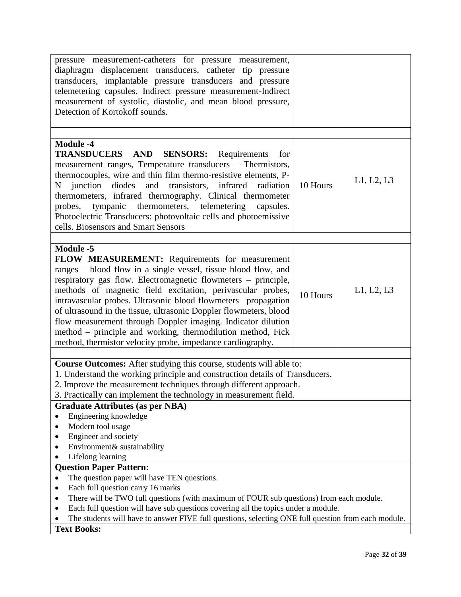| pressure measurement-catheters for pressure measurement,<br>diaphragm displacement transducers, catheter tip pressure<br>transducers, implantable pressure transducers and pressure<br>telemetering capsules. Indirect pressure measurement-Indirect<br>measurement of systolic, diastolic, and mean blood pressure,<br>Detection of Kortokoff sounds.                                                                                                                                                                                                                                                  |          |            |  |  |  |
|---------------------------------------------------------------------------------------------------------------------------------------------------------------------------------------------------------------------------------------------------------------------------------------------------------------------------------------------------------------------------------------------------------------------------------------------------------------------------------------------------------------------------------------------------------------------------------------------------------|----------|------------|--|--|--|
| <b>Module -4</b>                                                                                                                                                                                                                                                                                                                                                                                                                                                                                                                                                                                        |          |            |  |  |  |
| TRANSDUCERS AND<br><b>SENSORS:</b><br>Requirements<br>for<br>measurement ranges, Temperature transducers - Thermistors,<br>thermocouples, wire and thin film thermo-resistive elements, P-<br>N junction<br>diodes<br>and transistors, infrared radiation<br>thermometers, infrared thermography. Clinical thermometer<br>tympanic thermometers, telemetering<br>probes,<br>capsules.<br>Photoelectric Transducers: photovoltaic cells and photoemissive<br>cells. Biosensors and Smart Sensors                                                                                                         | 10 Hours | L1, L2, L3 |  |  |  |
|                                                                                                                                                                                                                                                                                                                                                                                                                                                                                                                                                                                                         |          |            |  |  |  |
| <b>Module -5</b><br>FLOW MEASUREMENT: Requirements for measurement<br>ranges – blood flow in a single vessel, tissue blood flow, and<br>respiratory gas flow. Electromagnetic flowmeters – principle,<br>methods of magnetic field excitation, perivascular probes,<br>intravascular probes. Ultrasonic blood flowmeters- propagation<br>of ultrasound in the tissue, ultrasonic Doppler flowmeters, blood<br>flow measurement through Doppler imaging. Indicator dilution<br>method - principle and working, thermodilution method, Fick<br>method, thermistor velocity probe, impedance cardiography. | 10 Hours | L1, L2, L3 |  |  |  |
| Course Outcomes: After studying this course, students will able to:                                                                                                                                                                                                                                                                                                                                                                                                                                                                                                                                     |          |            |  |  |  |
| 1. Understand the working principle and construction details of Transducers.<br>2. Improve the measurement techniques through different approach.<br>3. Practically can implement the technology in measurement field.                                                                                                                                                                                                                                                                                                                                                                                  |          |            |  |  |  |
| <b>Graduate Attributes (as per NBA)</b>                                                                                                                                                                                                                                                                                                                                                                                                                                                                                                                                                                 |          |            |  |  |  |
| Engineering knowledge<br>Modern tool usage<br>Engineer and society                                                                                                                                                                                                                                                                                                                                                                                                                                                                                                                                      |          |            |  |  |  |
| Environment& sustainability                                                                                                                                                                                                                                                                                                                                                                                                                                                                                                                                                                             |          |            |  |  |  |
| Lifelong learning<br><b>Question Paper Pattern:</b>                                                                                                                                                                                                                                                                                                                                                                                                                                                                                                                                                     |          |            |  |  |  |
| The question paper will have TEN questions.                                                                                                                                                                                                                                                                                                                                                                                                                                                                                                                                                             |          |            |  |  |  |
| Each full question carry 16 marks                                                                                                                                                                                                                                                                                                                                                                                                                                                                                                                                                                       |          |            |  |  |  |
| There will be TWO full questions (with maximum of FOUR sub questions) from each module.<br>٠                                                                                                                                                                                                                                                                                                                                                                                                                                                                                                            |          |            |  |  |  |
| Each full question will have sub questions covering all the topics under a module.<br>٠<br>The students will have to answer FIVE full questions, selecting ONE full question from each module.                                                                                                                                                                                                                                                                                                                                                                                                          |          |            |  |  |  |
| <b>Text Books:</b>                                                                                                                                                                                                                                                                                                                                                                                                                                                                                                                                                                                      |          |            |  |  |  |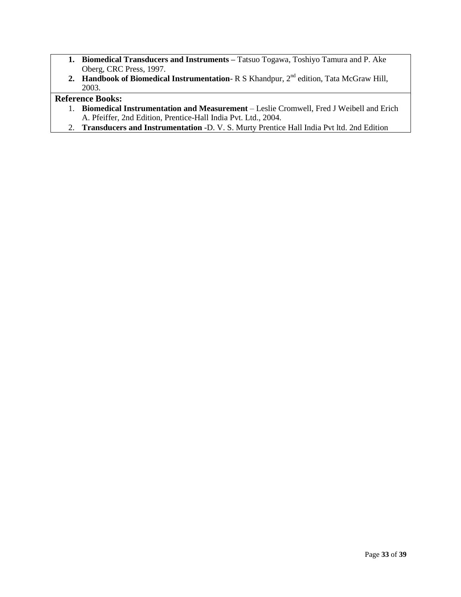- **1. Biomedical Transducers and Instruments –** Tatsuo Togawa, Toshiyo Tamura and P. Ake Oberg, CRC Press, 1997.
- **2. Handbook of Biomedical Instrumentation** R S Khandpur, 2nd edition, Tata McGraw Hill, 2003.

- 1. **Biomedical Instrumentation and Measurement** Leslie Cromwell, Fred J Weibell and Erich A. Pfeiffer, 2nd Edition, Prentice-Hall India Pvt. Ltd., 2004.
- 2. **Transducers and Instrumentation** -D. V. S. Murty Prentice Hall India Pvt ltd. 2nd Edition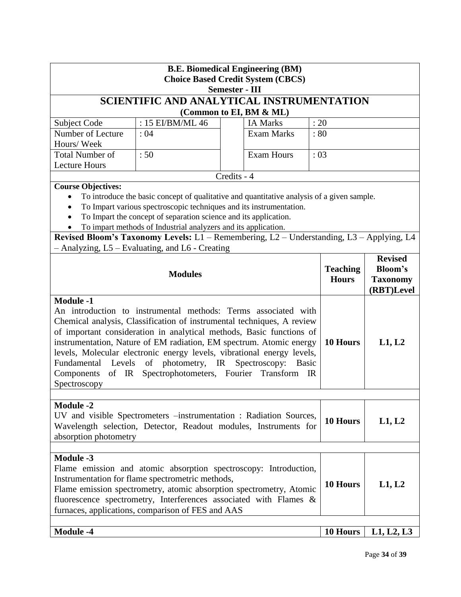| <b>B.E. Biomedical Engineering (BM)</b><br><b>Choice Based Credit System (CBCS)</b><br><b>Semester - III</b>                                                                                                                                                                                                                                                                                                                                                                                                                                            |                                                 |  |                         |          |                                 |                                                 |  |
|---------------------------------------------------------------------------------------------------------------------------------------------------------------------------------------------------------------------------------------------------------------------------------------------------------------------------------------------------------------------------------------------------------------------------------------------------------------------------------------------------------------------------------------------------------|-------------------------------------------------|--|-------------------------|----------|---------------------------------|-------------------------------------------------|--|
|                                                                                                                                                                                                                                                                                                                                                                                                                                                                                                                                                         | SCIENTIFIC AND ANALYTICAL INSTRUMENTATION       |  |                         |          |                                 |                                                 |  |
|                                                                                                                                                                                                                                                                                                                                                                                                                                                                                                                                                         |                                                 |  | (Common to EI, BM & ML) |          |                                 |                                                 |  |
| Subject Code                                                                                                                                                                                                                                                                                                                                                                                                                                                                                                                                            | : 15 EI/BM/ML 46                                |  | <b>IA Marks</b>         | : 20     |                                 |                                                 |  |
| Number of Lecture<br>Hours/Week                                                                                                                                                                                                                                                                                                                                                                                                                                                                                                                         | : 04                                            |  | <b>Exam Marks</b>       |          | :80                             |                                                 |  |
| <b>Total Number of</b>                                                                                                                                                                                                                                                                                                                                                                                                                                                                                                                                  | :50                                             |  | <b>Exam Hours</b>       |          | : 03                            |                                                 |  |
| <b>Lecture Hours</b>                                                                                                                                                                                                                                                                                                                                                                                                                                                                                                                                    |                                                 |  |                         |          |                                 |                                                 |  |
| Credits - 4<br><b>Course Objectives:</b><br>To introduce the basic concept of qualitative and quantitative analysis of a given sample.<br>To Impart various spectroscopic techniques and its instrumentation.<br>To Impart the concept of separation science and its application.<br>To impart methods of Industrial analyzers and its application.<br>Revised Bloom's Taxonomy Levels: L1 - Remembering, L2 - Understanding, L3 - Applying, L4                                                                                                         |                                                 |  |                         |          |                                 |                                                 |  |
|                                                                                                                                                                                                                                                                                                                                                                                                                                                                                                                                                         | - Analyzing, L5 - Evaluating, and L6 - Creating |  |                         |          |                                 | <b>Revised</b>                                  |  |
| <b>Modules</b>                                                                                                                                                                                                                                                                                                                                                                                                                                                                                                                                          |                                                 |  |                         |          | <b>Teaching</b><br><b>Hours</b> | <b>Bloom's</b><br><b>Taxonomy</b><br>(RBT)Level |  |
| <b>Module -1</b><br>An introduction to instrumental methods: Terms associated with<br>Chemical analysis, Classification of instrumental techniques, A review<br>of important consideration in analytical methods, Basic functions of<br>instrumentation, Nature of EM radiation, EM spectrum. Atomic energy<br>levels, Molecular electronic energy levels, vibrational energy levels,<br>Fundamental Levels of photometry, IR Spectroscopy:<br><b>Basic</b><br>of IR Spectrophotometers, Fourier Transform<br>Components<br>$_{\rm IR}$<br>Spectroscopy |                                                 |  |                         |          | 10 Hours                        | L1, L2                                          |  |
| <b>Module -2</b><br>UV and visible Spectrometers -instrumentation : Radiation Sources,<br>Wavelength selection, Detector, Readout modules, Instruments for<br>absorption photometry                                                                                                                                                                                                                                                                                                                                                                     |                                                 |  |                         | 10 Hours | L1, L2                          |                                                 |  |
| <b>Module -3</b><br>Flame emission and atomic absorption spectroscopy: Introduction,<br>Instrumentation for flame spectrometric methods,<br>Flame emission spectrometry, atomic absorption spectrometry, Atomic<br>fluorescence spectrometry, Interferences associated with Flames &<br>furnaces, applications, comparison of FES and AAS                                                                                                                                                                                                               |                                                 |  |                         |          | 10 Hours                        | L1, L2                                          |  |
| <b>Module -4</b>                                                                                                                                                                                                                                                                                                                                                                                                                                                                                                                                        |                                                 |  |                         |          | 10 Hours                        | L1, L2, L3                                      |  |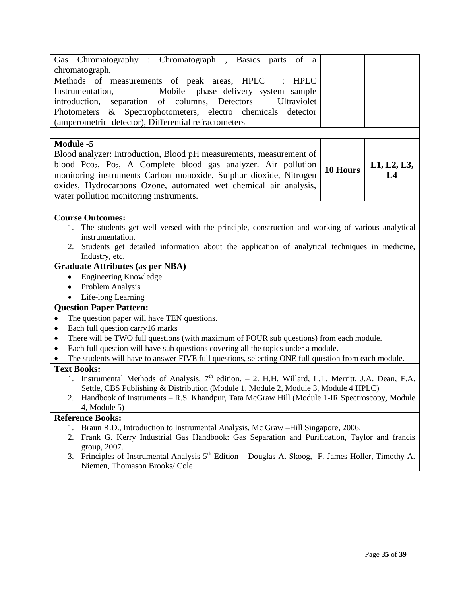| Gas Chromatography : Chromatograph, Basics parts<br>of a                                                                                                                                     |          |             |  |  |  |  |
|----------------------------------------------------------------------------------------------------------------------------------------------------------------------------------------------|----------|-------------|--|--|--|--|
| chromatograph,                                                                                                                                                                               |          |             |  |  |  |  |
| Methods of measurements of peak areas, HPLC<br>HPLC<br>$\ddot{\cdot}$                                                                                                                        |          |             |  |  |  |  |
| Instrumentation,<br>Mobile -phase delivery system sample                                                                                                                                     |          |             |  |  |  |  |
| introduction, separation of columns, Detectors – Ultraviolet                                                                                                                                 |          |             |  |  |  |  |
| Photometers & Spectrophotometers, electro chemicals detector                                                                                                                                 |          |             |  |  |  |  |
| (amperometric detector), Differential refractometers                                                                                                                                         |          |             |  |  |  |  |
|                                                                                                                                                                                              |          |             |  |  |  |  |
| <b>Module -5</b>                                                                                                                                                                             |          |             |  |  |  |  |
| Blood analyzer: Introduction, Blood pH measurements, measurement of                                                                                                                          |          |             |  |  |  |  |
| blood Pco <sub>2</sub> , Po <sub>2</sub> , A Complete blood gas analyzer. Air pollution                                                                                                      |          | L1, L2, L3, |  |  |  |  |
| monitoring instruments Carbon monoxide, Sulphur dioxide, Nitrogen                                                                                                                            | 10 Hours | L4          |  |  |  |  |
| oxides, Hydrocarbons Ozone, automated wet chemical air analysis,                                                                                                                             |          |             |  |  |  |  |
| water pollution monitoring instruments.                                                                                                                                                      |          |             |  |  |  |  |
|                                                                                                                                                                                              |          |             |  |  |  |  |
| <b>Course Outcomes:</b>                                                                                                                                                                      |          |             |  |  |  |  |
| 1. The students get well versed with the principle, construction and working of various analytical                                                                                           |          |             |  |  |  |  |
| instrumentation.                                                                                                                                                                             |          |             |  |  |  |  |
| Students get detailed information about the application of analytical techniques in medicine,<br>2.                                                                                          |          |             |  |  |  |  |
| Industry, etc.                                                                                                                                                                               |          |             |  |  |  |  |
| <b>Graduate Attributes (as per NBA)</b>                                                                                                                                                      |          |             |  |  |  |  |
| <b>Engineering Knowledge</b><br>$\bullet$                                                                                                                                                    |          |             |  |  |  |  |
| Problem Analysis<br>$\bullet$                                                                                                                                                                |          |             |  |  |  |  |
| Life-long Learning                                                                                                                                                                           |          |             |  |  |  |  |
| <b>Question Paper Pattern:</b>                                                                                                                                                               |          |             |  |  |  |  |
| The question paper will have TEN questions.<br>$\bullet$                                                                                                                                     |          |             |  |  |  |  |
| Each full question carry16 marks<br>$\bullet$                                                                                                                                                |          |             |  |  |  |  |
| There will be TWO full questions (with maximum of FOUR sub questions) from each module.<br>٠                                                                                                 |          |             |  |  |  |  |
| Each full question will have sub questions covering all the topics under a module.<br>$\bullet$                                                                                              |          |             |  |  |  |  |
| The students will have to answer FIVE full questions, selecting ONE full question from each module.                                                                                          |          |             |  |  |  |  |
| <b>Text Books:</b>                                                                                                                                                                           |          |             |  |  |  |  |
| 1. Instrumental Methods of Analysis, 7 <sup>th</sup> edition. - 2. H.H. Willard, L.L. Merritt, J.A. Dean, F.A.                                                                               |          |             |  |  |  |  |
| Settle, CBS Publishing & Distribution (Module 1, Module 2, Module 3, Module 4 HPLC)                                                                                                          |          |             |  |  |  |  |
| 2. Handbook of Instruments – R.S. Khandpur, Tata McGraw Hill (Module 1-IR Spectroscopy, Module                                                                                               |          |             |  |  |  |  |
| $4$ , Module 5)                                                                                                                                                                              |          |             |  |  |  |  |
| <b>Reference Books:</b>                                                                                                                                                                      |          |             |  |  |  |  |
| Braun R.D., Introduction to Instrumental Analysis, Mc Graw -Hill Singapore, 2006.<br>1.<br>Frank G. Kerry Industrial Gas Handbook: Gas Separation and Purification, Taylor and francis<br>2. |          |             |  |  |  |  |
| group, 2007.                                                                                                                                                                                 |          |             |  |  |  |  |
| 3. Principles of Instrumental Analysis $5th$ Edition – Douglas A. Skoog, F. James Holler, Timothy A.                                                                                         |          |             |  |  |  |  |
| Niemen, Thomason Brooks/ Cole                                                                                                                                                                |          |             |  |  |  |  |
|                                                                                                                                                                                              |          |             |  |  |  |  |
|                                                                                                                                                                                              |          |             |  |  |  |  |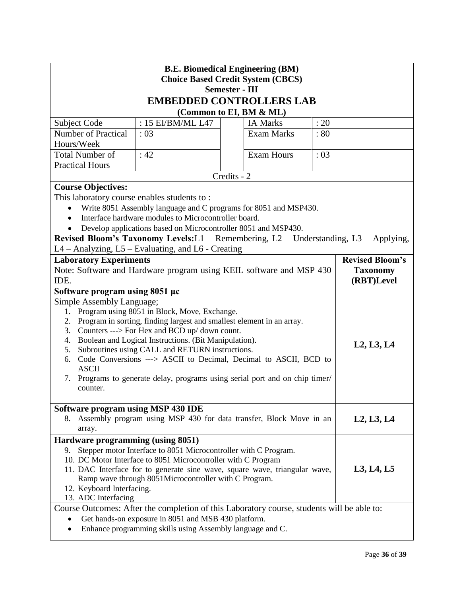| <b>B.E. Biomedical Engineering (BM)</b><br><b>Choice Based Credit System (CBCS)</b>                                                         |                                                                                                                |                                                                                       |      |                        |  |
|---------------------------------------------------------------------------------------------------------------------------------------------|----------------------------------------------------------------------------------------------------------------|---------------------------------------------------------------------------------------|------|------------------------|--|
|                                                                                                                                             |                                                                                                                | <b>Semester - III</b>                                                                 |      |                        |  |
|                                                                                                                                             |                                                                                                                | <b>EMBEDDED CONTROLLERS LAB</b>                                                       |      |                        |  |
|                                                                                                                                             |                                                                                                                | (Common to EI, BM & ML)                                                               |      |                        |  |
| <b>Subject Code</b>                                                                                                                         | : 15 EI/BM/ML L47                                                                                              | <b>IA Marks</b>                                                                       | : 20 |                        |  |
| Number of Practical                                                                                                                         | :03                                                                                                            | <b>Exam Marks</b>                                                                     | : 80 |                        |  |
| Hours/Week                                                                                                                                  |                                                                                                                |                                                                                       |      |                        |  |
| <b>Total Number of</b>                                                                                                                      | : 42                                                                                                           | <b>Exam Hours</b>                                                                     | : 03 |                        |  |
| <b>Practical Hours</b>                                                                                                                      |                                                                                                                |                                                                                       |      |                        |  |
|                                                                                                                                             |                                                                                                                | Credits - 2                                                                           |      |                        |  |
| <b>Course Objectives:</b>                                                                                                                   |                                                                                                                |                                                                                       |      |                        |  |
| This laboratory course enables students to:                                                                                                 |                                                                                                                |                                                                                       |      |                        |  |
|                                                                                                                                             |                                                                                                                | Write 8051 Assembly language and C programs for 8051 and MSP430.                      |      |                        |  |
|                                                                                                                                             | Interface hardware modules to Microcontroller board.                                                           |                                                                                       |      |                        |  |
|                                                                                                                                             | Develop applications based on Microcontroller 8051 and MSP430.                                                 | Revised Bloom's Taxonomy Levels: L1 - Remembering, L2 - Understanding, L3 - Applying, |      |                        |  |
|                                                                                                                                             | L4 - Analyzing, L5 - Evaluating, and L6 - Creating                                                             |                                                                                       |      |                        |  |
| <b>Laboratory Experiments</b>                                                                                                               |                                                                                                                |                                                                                       |      | <b>Revised Bloom's</b> |  |
|                                                                                                                                             |                                                                                                                |                                                                                       |      | <b>Taxonomy</b>        |  |
| IDE.                                                                                                                                        | Note: Software and Hardware program using KEIL software and MSP 430                                            |                                                                                       |      | (RBT)Level             |  |
| Software program using 8051 µc                                                                                                              |                                                                                                                |                                                                                       |      |                        |  |
| Simple Assembly Language;                                                                                                                   |                                                                                                                |                                                                                       |      |                        |  |
| 1.                                                                                                                                          | Program using 8051 in Block, Move, Exchange.                                                                   |                                                                                       |      |                        |  |
| 2.                                                                                                                                          | Program in sorting, finding largest and smallest element in an array.                                          |                                                                                       |      |                        |  |
|                                                                                                                                             | 3. Counters ---> For Hex and BCD up/ down count.                                                               |                                                                                       |      |                        |  |
|                                                                                                                                             | 4. Boolean and Logical Instructions. (Bit Manipulation).<br>5. Subroutines using CALL and RETURN instructions. |                                                                                       |      | L2, L3, L4             |  |
| 6.                                                                                                                                          |                                                                                                                |                                                                                       |      |                        |  |
| <b>ASCII</b>                                                                                                                                | Code Conversions ---> ASCII to Decimal, Decimal to ASCII, BCD to                                               |                                                                                       |      |                        |  |
| Programs to generate delay, programs using serial port and on chip timer/<br>7.                                                             |                                                                                                                |                                                                                       |      |                        |  |
| counter.                                                                                                                                    |                                                                                                                |                                                                                       |      |                        |  |
|                                                                                                                                             |                                                                                                                |                                                                                       |      |                        |  |
| Software program using MSP 430 IDE                                                                                                          |                                                                                                                |                                                                                       |      |                        |  |
| Assembly program using MSP 430 for data transfer, Block Move in an<br>8.                                                                    |                                                                                                                |                                                                                       |      | L2, L3, L4             |  |
| array.                                                                                                                                      |                                                                                                                |                                                                                       |      |                        |  |
|                                                                                                                                             | Hardware programming (using 8051)<br>Stepper motor Interface to 8051 Microcontroller with C Program.           |                                                                                       |      |                        |  |
| 9.                                                                                                                                          |                                                                                                                |                                                                                       |      |                        |  |
| 10. DC Motor Interface to 8051 Microcontroller with C Program<br>11. DAC Interface for to generate sine wave, square wave, triangular wave, |                                                                                                                |                                                                                       |      | L3, L4, L5             |  |
| Ramp wave through 8051Microcontroller with C Program.                                                                                       |                                                                                                                |                                                                                       |      |                        |  |
| 12. Keyboard Interfacing.                                                                                                                   |                                                                                                                |                                                                                       |      |                        |  |
| 13. ADC Interfacing                                                                                                                         |                                                                                                                |                                                                                       |      |                        |  |
| Course Outcomes: After the completion of this Laboratory course, students will be able to:                                                  |                                                                                                                |                                                                                       |      |                        |  |
| Get hands-on exposure in 8051 and MSB 430 platform.                                                                                         |                                                                                                                |                                                                                       |      |                        |  |
| Enhance programming skills using Assembly language and C.                                                                                   |                                                                                                                |                                                                                       |      |                        |  |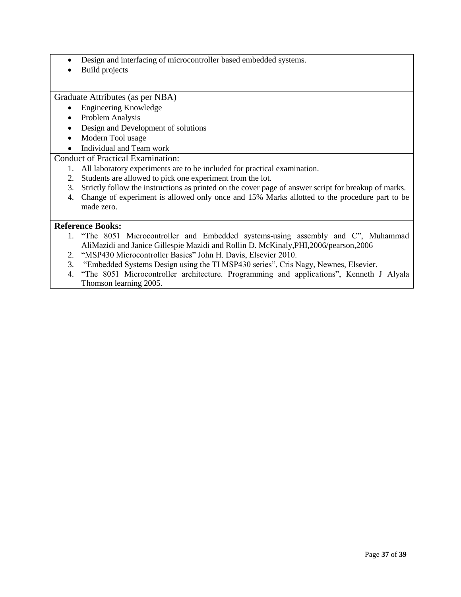- Design and interfacing of microcontroller based embedded systems.
- Build projects

Graduate Attributes (as per NBA)

- Engineering Knowledge
- Problem Analysis
- Design and Development of solutions
- Modern Tool usage
- Individual and Team work

### Conduct of Practical Examination:

- 1. All laboratory experiments are to be included for practical examination.
- 2. Students are allowed to pick one experiment from the lot.
- 3. Strictly follow the instructions as printed on the cover page of answer script for breakup of marks.
- 4. Change of experiment is allowed only once and 15% Marks allotted to the procedure part to be made zero.

- 1. "The 8051 Microcontroller and Embedded systems-using assembly and C", Muhammad AliMazidi and Janice Gillespie Mazidi and Rollin D. McKinaly,PHI,2006/pearson,2006
- 2. "MSP430 Microcontroller Basics" John H. Davis, Elsevier 2010.
- 3. "Embedded Systems Design using the TI MSP430 series", Cris Nagy, Newnes, Elsevier.
- 4. "The 8051 Microcontroller architecture. Programming and applications", Kenneth J Alyala Thomson learning 2005.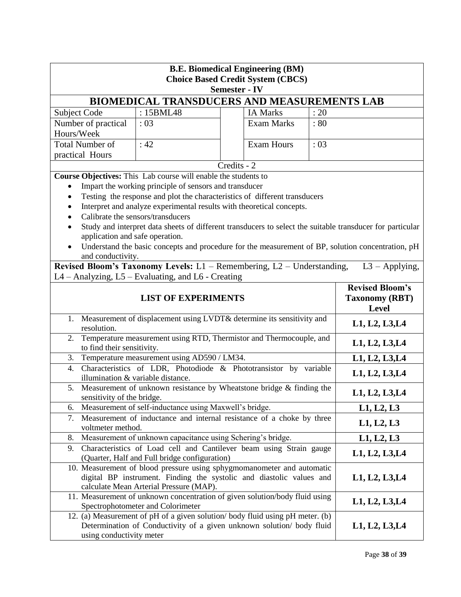| <b>B.E. Biomedical Engineering (BM)</b><br><b>Choice Based Credit System (CBCS)</b><br><b>Semester - IV</b>                                                                               |                                                                                            |             |                   |                                                          |                                                                                                           |  |
|-------------------------------------------------------------------------------------------------------------------------------------------------------------------------------------------|--------------------------------------------------------------------------------------------|-------------|-------------------|----------------------------------------------------------|-----------------------------------------------------------------------------------------------------------|--|
| BIOMEDICAL TRANSDUCERS AND MEASUREMENTS LAB                                                                                                                                               |                                                                                            |             |                   |                                                          |                                                                                                           |  |
| Subject Code                                                                                                                                                                              | : 15BML48                                                                                  |             | <b>IA Marks</b>   | : 20                                                     |                                                                                                           |  |
| Number of practical                                                                                                                                                                       | :03                                                                                        |             | <b>Exam Marks</b> | $\therefore 80$                                          |                                                                                                           |  |
| Hours/Week                                                                                                                                                                                |                                                                                            |             |                   |                                                          |                                                                                                           |  |
| <b>Total Number of</b>                                                                                                                                                                    | : 42                                                                                       |             | <b>Exam Hours</b> | :03                                                      |                                                                                                           |  |
| practical Hours                                                                                                                                                                           |                                                                                            |             |                   |                                                          |                                                                                                           |  |
|                                                                                                                                                                                           |                                                                                            | Credits - 2 |                   |                                                          |                                                                                                           |  |
| Course Objectives: This Lab course will enable the students to                                                                                                                            |                                                                                            |             |                   |                                                          |                                                                                                           |  |
| $\bullet$                                                                                                                                                                                 | Impart the working principle of sensors and transducer                                     |             |                   |                                                          |                                                                                                           |  |
| ٠                                                                                                                                                                                         | Testing the response and plot the characteristics of different transducers                 |             |                   |                                                          |                                                                                                           |  |
|                                                                                                                                                                                           | Interpret and analyze experimental results with theoretical concepts.                      |             |                   |                                                          |                                                                                                           |  |
|                                                                                                                                                                                           | Calibrate the sensors/transducers                                                          |             |                   |                                                          |                                                                                                           |  |
|                                                                                                                                                                                           |                                                                                            |             |                   |                                                          | Study and interpret data sheets of different transducers to select the suitable transducer for particular |  |
| application and safe operation.                                                                                                                                                           |                                                                                            |             |                   |                                                          |                                                                                                           |  |
| and conductivity.                                                                                                                                                                         |                                                                                            |             |                   |                                                          | Understand the basic concepts and procedure for the measurement of BP, solution concentration, pH         |  |
| Revised Bloom's Taxonomy Levels: $L1$ – Remembering, $L2$ – Understanding,                                                                                                                |                                                                                            |             |                   |                                                          | $L3 - Applying,$                                                                                          |  |
| L4 - Analyzing, L5 - Evaluating, and L6 - Creating                                                                                                                                        |                                                                                            |             |                   |                                                          |                                                                                                           |  |
| <b>LIST OF EXPERIMENTS</b>                                                                                                                                                                |                                                                                            |             |                   | <b>Revised Bloom's</b><br><b>Taxonomy (RBT)</b><br>Level |                                                                                                           |  |
| 1. Measurement of displacement using LVDT& determine its sensitivity and<br>resolution.                                                                                                   |                                                                                            |             | L1, L2, L3, L4    |                                                          |                                                                                                           |  |
| Temperature measurement using RTD, Thermistor and Thermocouple, and<br>2.<br>to find their sensitivity.                                                                                   |                                                                                            |             |                   | L1, L2, L3, L4                                           |                                                                                                           |  |
| Temperature measurement using AD590 / LM34.<br>3.                                                                                                                                         |                                                                                            |             | L1, L2, L3, L4    |                                                          |                                                                                                           |  |
| Characteristics of LDR, Photodiode & Phototransistor by variable<br>4.<br>illumination & variable distance.                                                                               |                                                                                            |             | L1, L2, L3, L4    |                                                          |                                                                                                           |  |
| 5. Measurement of unknown resistance by Wheatstone bridge & finding the<br>sensitivity of the bridge.                                                                                     |                                                                                            |             | L1, L2, L3, L4    |                                                          |                                                                                                           |  |
| 6.                                                                                                                                                                                        | Measurement of self-inductance using Maxwell's bridge.                                     |             |                   | L1, L2, L3                                               |                                                                                                           |  |
| 7.                                                                                                                                                                                        | Measurement of inductance and internal resistance of a choke by three<br>voltmeter method. |             |                   | L1, L2, L3                                               |                                                                                                           |  |
| Measurement of unknown capacitance using Schering's bridge.<br>8.                                                                                                                         |                                                                                            |             | L1, L2, L3        |                                                          |                                                                                                           |  |
| Characteristics of Load cell and Cantilever beam using Strain gauge<br>9.                                                                                                                 |                                                                                            |             | L1, L2, L3, L4    |                                                          |                                                                                                           |  |
| (Quarter, Half and Full bridge configuration)                                                                                                                                             |                                                                                            |             |                   |                                                          |                                                                                                           |  |
| 10. Measurement of blood pressure using sphygmomanometer and automatic<br>digital BP instrument. Finding the systolic and diastolic values and<br>calculate Mean Arterial Pressure (MAP). |                                                                                            |             | L1, L2, L3, L4    |                                                          |                                                                                                           |  |
| 11. Measurement of unknown concentration of given solution/body fluid using<br>Spectrophotometer and Colorimeter                                                                          |                                                                                            |             | L1, L2, L3, L4    |                                                          |                                                                                                           |  |
| 12. (a) Measurement of pH of a given solution/body fluid using pH meter. (b)<br>Determination of Conductivity of a given unknown solution/ body fluid<br>using conductivity meter         |                                                                                            |             |                   | L1, L2, L3, L4                                           |                                                                                                           |  |